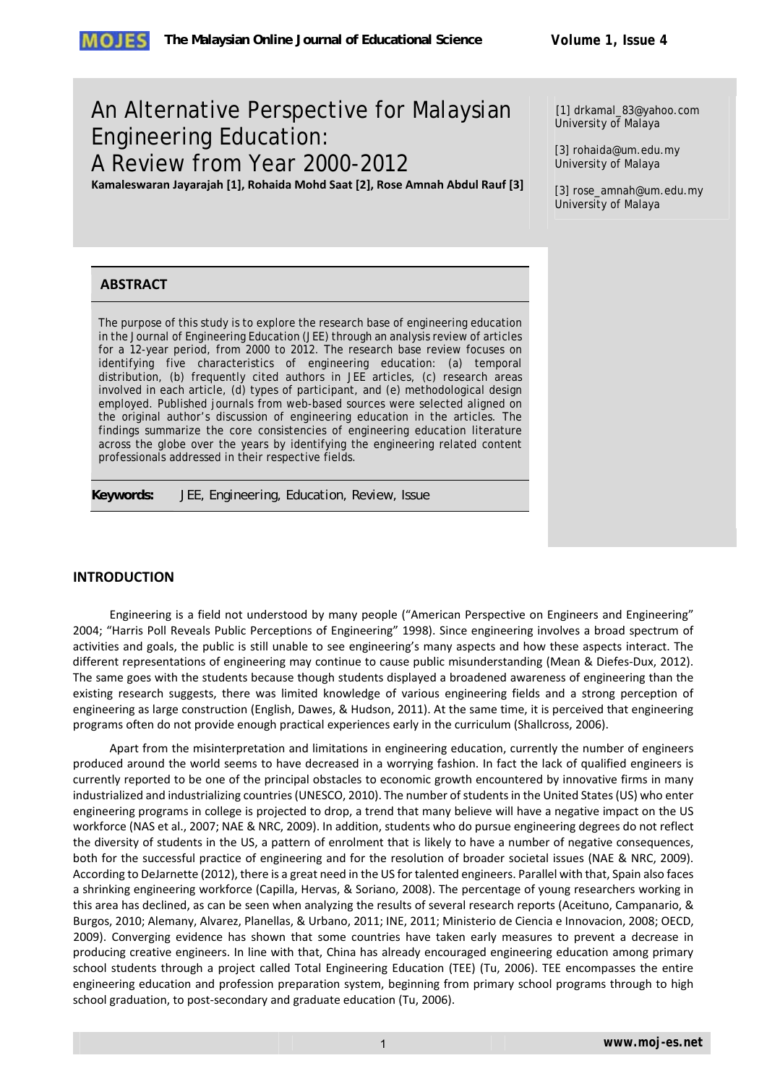# An Alternative Perspective for Malaysian Engineering Education: A Review from Year 2000-2012

**Kamaleswaran Jayarajah [1], Rohaida Mohd Saat [2], Rose Amnah Abdul Rauf [3]**

[1] drkamal\_83@yahoo.com University of Malaya

[3] rohaida@um.edu.my University of Malaya

[3] rose\_amnah@um.edu.my University of Malaya

## **ABSTRACT**

The purpose of this study is to explore the research base of engineering education in the Journal of Engineering Education (JEE) through an analysis review of articles for a 12-year period, from 2000 to 2012. The research base review focuses on identifying five characteristics of engineering education: (a) temporal distribution, (b) frequently cited authors in JEE articles, (c) research areas involved in each article, (d) types of participant, and (e) methodological design employed. Published journals from web-based sources were selected aligned on the original author's discussion of engineering education in the articles. The findings summarize the core consistencies of engineering education literature across the globe over the years by identifying the engineering related content professionals addressed in their respective fields.

**Keywords:** *JEE, Engineering, Education, Review, Issue* 

## **INTRODUCTION**

Engineering is a field not understood by many people ("American Perspective on Engineers and Engineering" 2004; "Harris Poll Reveals Public Perceptions of Engineering" 1998). Since engineering involves a broad spectrum of activities and goals, the public is still unable to see engineering's many aspects and how these aspects interact. The different representations of engineering may continue to cause public misunderstanding (Mean & Diefes-Dux, 2012). The same goes with the students because though students displayed a broadened awareness of engineering than the existing research suggests, there was limited knowledge of various engineering fields and a strong perception of engineering as large construction (English, Dawes, & Hudson, 2011). At the same time, it is perceived that engineering programs often do not provide enough practical experiences early in the curriculum (Shallcross, 2006).

Apart from the misinterpretation and limitations in engineering education, currently the number of engineers produced around the world seems to have decreased in a worrying fashion. In fact the lack of qualified engineers is currently reported to be one of the principal obstacles to economic growth encountered by innovative firms in many industrialized and industrializing countries (UNESCO, 2010). The number of students in the United States (US) who enter engineering programs in college is projected to drop, a trend that many believe will have a negative impact on the US workforce (NAS et al., 2007; NAE & NRC, 2009). In addition, students who do pursue engineering degrees do not reflect the diversity of students in the US, a pattern of enrolment that is likely to have a number of negative consequences, both for the successful practice of engineering and for the resolution of broader societal issues (NAE & NRC, 2009). According to DeJarnette (2012), there is a great need in the US for talented engineers. Parallel with that, Spain also faces a shrinking engineering workforce (Capilla, Hervas, & Soriano, 2008). The percentage of young researchers working in this area has declined, as can be seen when analyzing the results of several research reports (Aceituno, Campanario, & Burgos, 2010; Alemany, Alvarez, Planellas, & Urbano, 2011; INE, 2011; Ministerio de Ciencia e Innovacion, 2008; OECD, 2009). Converging evidence has shown that some countries have taken early measures to prevent a decrease in producing creative engineers. In line with that, China has already encouraged engineering education among primary school students through a project called Total Engineering Education (TEE) (Tu, 2006). TEE encompasses the entire engineering education and profession preparation system, beginning from primary school programs through to high school graduation, to post‐secondary and graduate education (Tu, 2006).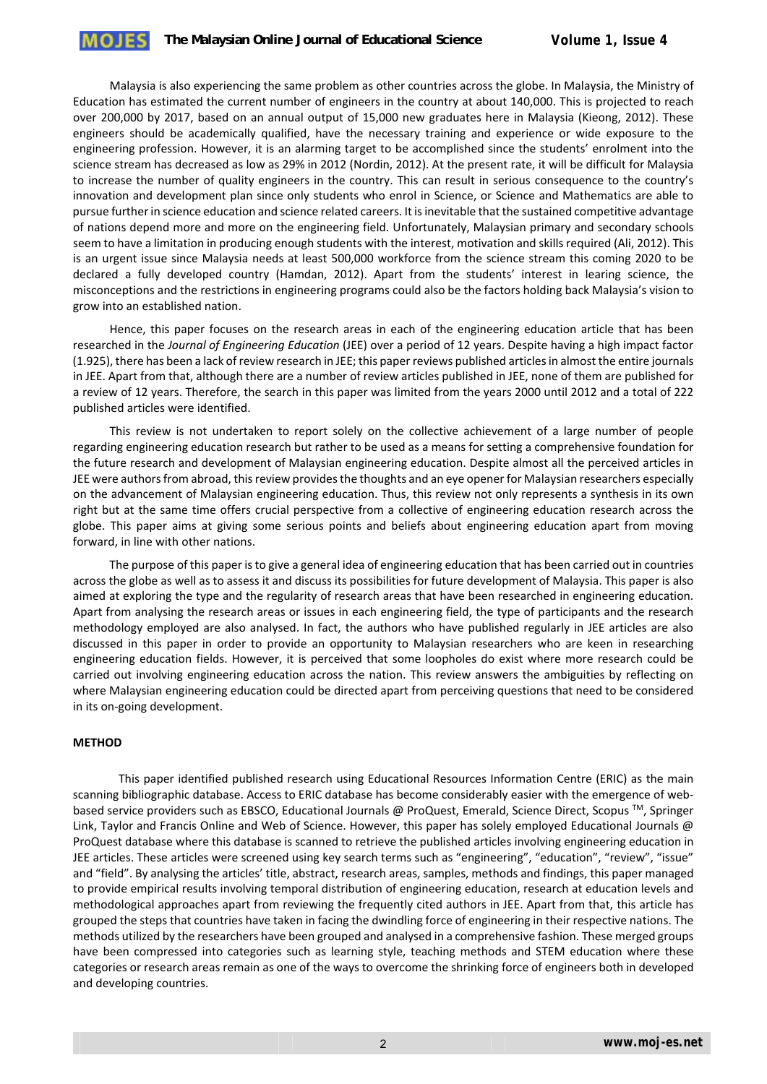Malaysia is also experiencing the same problem as other countries across the globe. In Malaysia, the Ministry of Education has estimated the current number of engineers in the country at about 140,000. This is projected to reach over 200,000 by 2017, based on an annual output of 15,000 new graduates here in Malaysia (Kieong, 2012). These engineers should be academically qualified, have the necessary training and experience or wide exposure to the engineering profession. However, it is an alarming target to be accomplished since the students' enrolment into the science stream has decreased as low as 29% in 2012 (Nordin, 2012). At the present rate, it will be difficult for Malaysia to increase the number of quality engineers in the country. This can result in serious consequence to the country's innovation and development plan since only students who enrol in Science, or Science and Mathematics are able to pursue furtherin science education and science related careers. It isinevitable that the sustained competitive advantage of nations depend more and more on the engineering field. Unfortunately, Malaysian primary and secondary schools seem to have a limitation in producing enough students with the interest, motivation and skills required (Ali, 2012). This is an urgent issue since Malaysia needs at least 500,000 workforce from the science stream this coming 2020 to be declared a fully developed country (Hamdan, 2012). Apart from the students' interest in learing science, the misconceptions and the restrictions in engineering programs could also be the factors holding back Malaysia's vision to grow into an established nation.

Hence, this paper focuses on the research areas in each of the engineering education article that has been researched in the *Journal of Engineering Education* (JEE) over a period of 12 years. Despite having a high impact factor (1.925), there has been a lack ofreview research in JEE; this paperreviews published articlesin almost the entire journals in JEE. Apart from that, although there are a number of review articles published in JEE, none of them are published for a review of 12 years. Therefore, the search in this paper was limited from the years 2000 until 2012 and a total of 222 published articles were identified.

This review is not undertaken to report solely on the collective achievement of a large number of people regarding engineering education research but rather to be used as a means for setting a comprehensive foundation for the future research and development of Malaysian engineering education. Despite almost all the perceived articles in JEE were authors from abroad, this review provides the thoughts and an eye opener for Malaysian researchers especially on the advancement of Malaysian engineering education. Thus, this review not only represents a synthesis in its own right but at the same time offers crucial perspective from a collective of engineering education research across the globe. This paper aims at giving some serious points and beliefs about engineering education apart from moving forward, in line with other nations.

The purpose of this paper isto give a general idea of engineering education that has been carried out in countries across the globe as well as to assess it and discuss its possibilities for future development of Malaysia. This paper is also aimed at exploring the type and the regularity of research areas that have been researched in engineering education. Apart from analysing the research areas or issues in each engineering field, the type of participants and the research methodology employed are also analysed. In fact, the authors who have published regularly in JEE articles are also discussed in this paper in order to provide an opportunity to Malaysian researchers who are keen in researching engineering education fields. However, it is perceived that some loopholes do exist where more research could be carried out involving engineering education across the nation. This review answers the ambiguities by reflecting on where Malaysian engineering education could be directed apart from perceiving questions that need to be considered in its on‐going development.

#### **METHOD**

This paper identified published research using Educational Resources Information Centre (ERIC) as the main scanning bibliographic database. Access to ERIC database has become considerably easier with the emergence of web‐ based service providers such as EBSCO, Educational Journals @ ProQuest, Emerald, Science Direct, Scopus ™, Springer Link, Taylor and Francis Online and Web of Science. However, this paper has solely employed Educational Journals @ ProQuest database where this database is scanned to retrieve the published articles involving engineering education in JEE articles. These articles were screened using key search terms such as "engineering", "education", "review", "issue" and "field". By analysing the articles' title, abstract, research areas, samples, methods and findings, this paper managed to provide empirical results involving temporal distribution of engineering education, research at education levels and methodological approaches apart from reviewing the frequently cited authors in JEE. Apart from that, this article has grouped the steps that countries have taken in facing the dwindling force of engineering in their respective nations. The methods utilized by the researchers have been grouped and analysed in a comprehensive fashion. These merged groups have been compressed into categories such as learning style, teaching methods and STEM education where these categories or research areas remain as one of the ways to overcome the shrinking force of engineers both in developed and developing countries.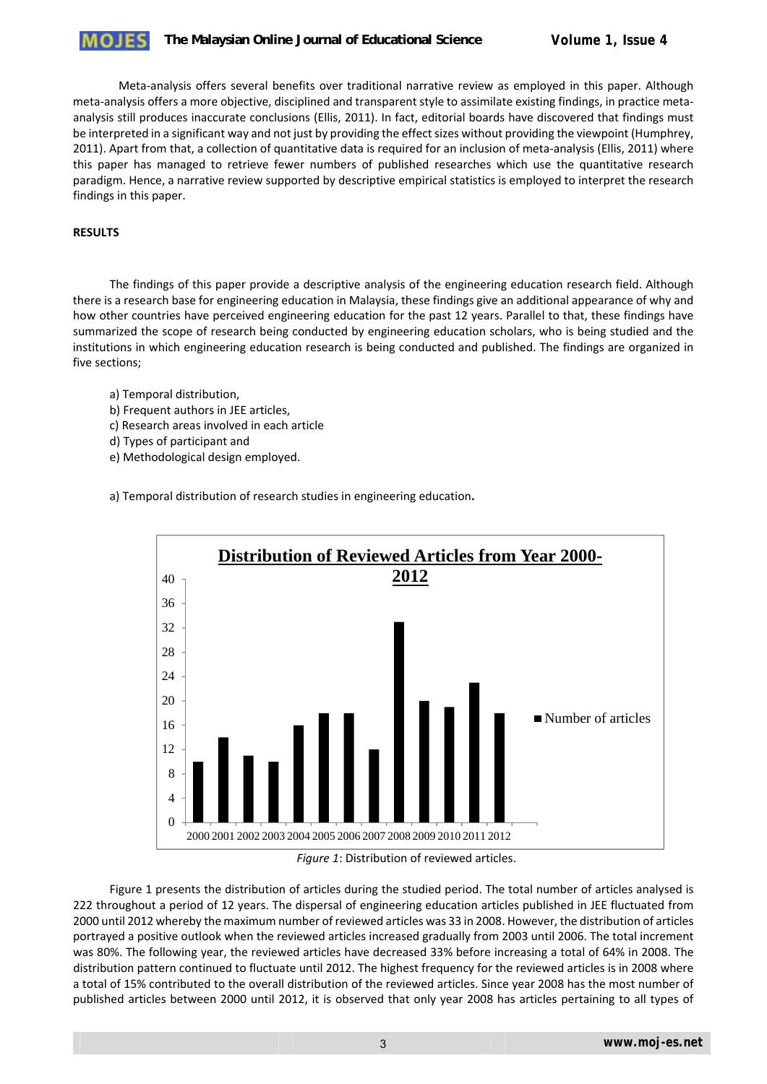### **The Malaysian Online Journal of Educational Science** *Volume 1, Issue 4*

Meta-analysis offers several benefits over traditional narrative review as employed in this paper. Although meta-analysis offers a more objective, disciplined and transparent style to assimilate existing findings, in practice metaanalysis still produces inaccurate conclusions (Ellis, 2011). In fact, editorial boards have discovered that findings must be interpreted in a significant way and not just by providing the effect sizes without providing the viewpoint (Humphrey, 2011). Apart from that, a collection of quantitative data is required for an inclusion of meta-analysis (Ellis, 2011) where this paper has managed to retrieve fewer numbers of published researches which use the quantitative research paradigm. Hence, a narrative review supported by descriptive empirical statistics is employed to interpret the research findings in this paper.

#### **RESULTS**

The findings of this paper provide a descriptive analysis of the engineering education research field. Although there is a research base for engineering education in Malaysia, these findings give an additional appearance of why and how other countries have perceived engineering education for the past 12 years. Parallel to that, these findings have summarized the scope of research being conducted by engineering education scholars, who is being studied and the institutions in which engineering education research is being conducted and published. The findings are organized in five sections;

- a) Temporal distribution,
- b) Frequent authors in JEE articles,
- c) Research areas involved in each article
- d) Types of participant and
- e) Methodological design employed.

a) Temporal distribution of research studies in engineering education**.**



*Figure 1*: Distribution of reviewed articles.

Figure 1 presents the distribution of articles during the studied period. The total number of articles analysed is 222 throughout a period of 12 years. The dispersal of engineering education articles published in JEE fluctuated from 2000 until 2012 whereby the maximum number ofreviewed articles was 33 in 2008. However, the distribution of articles portrayed a positive outlook when the reviewed articles increased gradually from 2003 until 2006. The total increment was 80%. The following year, the reviewed articles have decreased 33% before increasing a total of 64% in 2008. The distribution pattern continued to fluctuate until 2012. The highest frequency for the reviewed articles is in 2008 where a total of 15% contributed to the overall distribution of the reviewed articles. Since year 2008 has the most number of published articles between 2000 until 2012, it is observed that only year 2008 has articles pertaining to all types of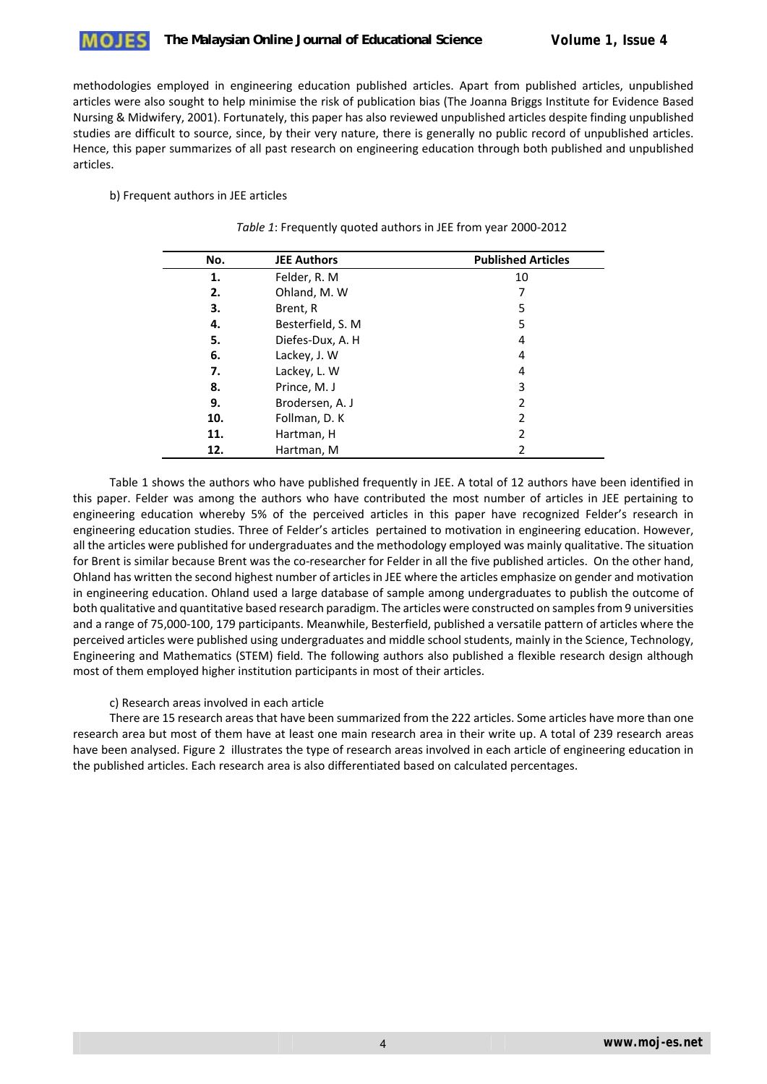### **The Malaysian Online Journal of Educational Science** *Volume 1, Issue 4*

methodologies employed in engineering education published articles. Apart from published articles, unpublished articles were also sought to help minimise the risk of publication bias (The Joanna Briggs Institute for Evidence Based Nursing & Midwifery, 2001). Fortunately, this paper has also reviewed unpublished articles despite finding unpublished studies are difficult to source, since, by their very nature, there is generally no public record of unpublished articles. Hence, this paper summarizes of all past research on engineering education through both published and unpublished articles.

#### b) Frequent authors in JEE articles

| No. | <b>JEE Authors</b> | <b>Published Articles</b> |
|-----|--------------------|---------------------------|
| 1.  | Felder, R. M.      | 10                        |
| 2.  | Ohland, M. W       |                           |
| з.  | Brent, R           | 5                         |
| 4.  | Besterfield, S. M. | 5                         |
| 5.  | Diefes-Dux, A. H.  | 4                         |
| 6.  | Lackey, J. W       | 4                         |
| 7.  | Lackey, L. W       | 4                         |
| 8.  | Prince, M. J       | 3                         |
| 9.  | Brodersen, A. J    | $\overline{2}$            |
| 10. | Follman, D. K      | $\overline{2}$            |
| 11. | Hartman, H         | 2                         |
| 12. | Hartman, M         | 2                         |

| Table 1: Frequently quoted authors in JEE from year 2000-2012 |  |  |  |
|---------------------------------------------------------------|--|--|--|
|---------------------------------------------------------------|--|--|--|

Table 1 shows the authors who have published frequently in JEE. A total of 12 authors have been identified in this paper. Felder was among the authors who have contributed the most number of articles in JEE pertaining to engineering education whereby 5% of the perceived articles in this paper have recognized Felder's research in engineering education studies. Three of Felder's articles pertained to motivation in engineering education. However, all the articles were published for undergraduates and the methodology employed was mainly qualitative. The situation for Brent is similar because Brent was the co-researcher for Felder in all the five published articles. On the other hand, Ohland has written the second highest number of articlesin JEE where the articles emphasize on gender and motivation in engineering education. Ohland used a large database of sample among undergraduates to publish the outcome of both qualitative and quantitative based research paradigm. The articles were constructed on samplesfrom 9 universities and a range of 75,000‐100, 179 participants. Meanwhile, Besterfield, published a versatile pattern of articles where the perceived articles were published using undergraduates and middle school students, mainly in the Science, Technology, Engineering and Mathematics (STEM) field. The following authors also published a flexible research design although most of them employed higher institution participants in most of their articles.

#### c) Research areas involved in each article

There are 15 research areasthat have been summarized from the 222 articles. Some articles have more than one research area but most of them have at least one main research area in their write up. A total of 239 research areas have been analysed. Figure 2 illustrates the type of research areas involved in each article of engineering education in the published articles. Each research area is also differentiated based on calculated percentages.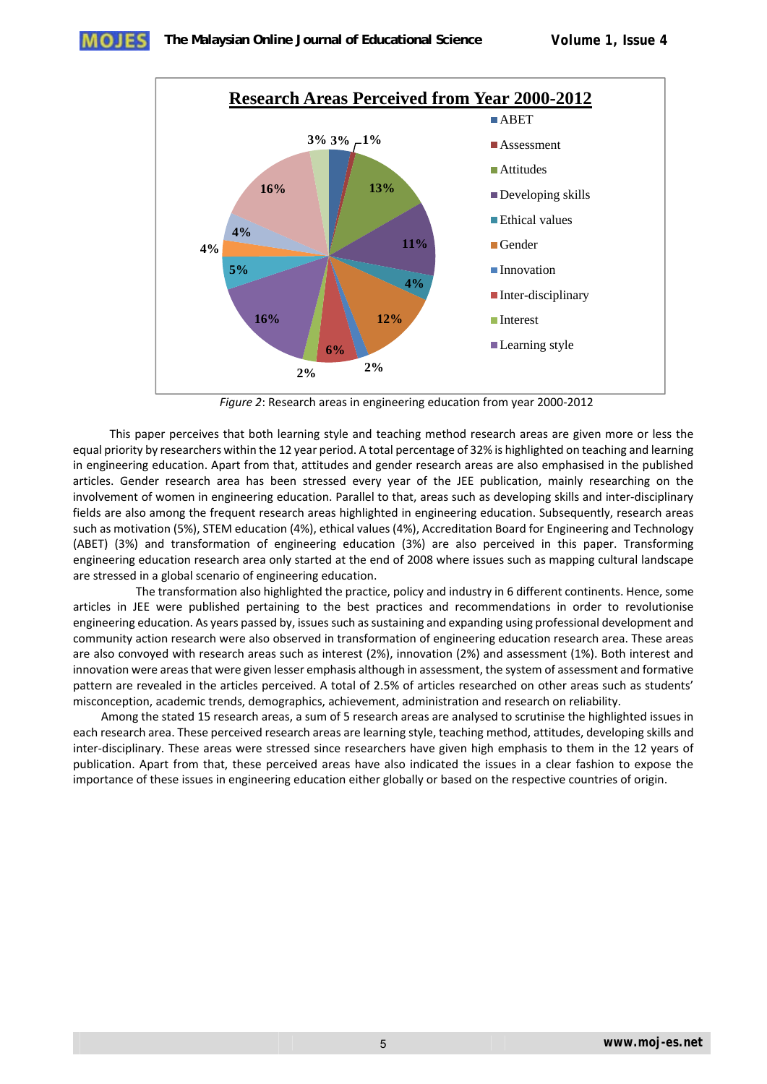

*Figure 2*: Research areas in engineering education from year 2000‐2012

This paper perceives that both learning style and teaching method research areas are given more or less the equal priority by researchers within the 12 year period. A total percentage of 32% is highlighted on teaching and learning in engineering education. Apart from that, attitudes and gender research areas are also emphasised in the published articles. Gender research area has been stressed every year of the JEE publication, mainly researching on the involvement of women in engineering education. Parallel to that, areas such as developing skills and inter‐disciplinary fields are also among the frequent research areas highlighted in engineering education. Subsequently, research areas such as motivation (5%), STEM education (4%), ethical values (4%), Accreditation Board for Engineering and Technology (ABET) (3%) and transformation of engineering education (3%) are also perceived in this paper. Transforming engineering education research area only started at the end of 2008 where issues such as mapping cultural landscape are stressed in a global scenario of engineering education.

 The transformation also highlighted the practice, policy and industry in 6 different continents. Hence, some articles in JEE were published pertaining to the best practices and recommendations in order to revolutionise engineering education. As years passed by, issues such as sustaining and expanding using professional development and community action research were also observed in transformation of engineering education research area. These areas are also convoyed with research areas such as interest (2%), innovation (2%) and assessment (1%). Both interest and innovation were areasthat were given lesser emphasis although in assessment, the system of assessment and formative pattern are revealed in the articles perceived. A total of 2.5% of articles researched on other areas such as students' misconception, academic trends, demographics, achievement, administration and research on reliability.

Among the stated 15 research areas, a sum of 5 research areas are analysed to scrutinise the highlighted issues in each research area. These perceived research areas are learning style, teaching method, attitudes, developing skills and inter-disciplinary. These areas were stressed since researchers have given high emphasis to them in the 12 years of publication. Apart from that, these perceived areas have also indicated the issues in a clear fashion to expose the importance of these issues in engineering education either globally or based on the respective countries of origin.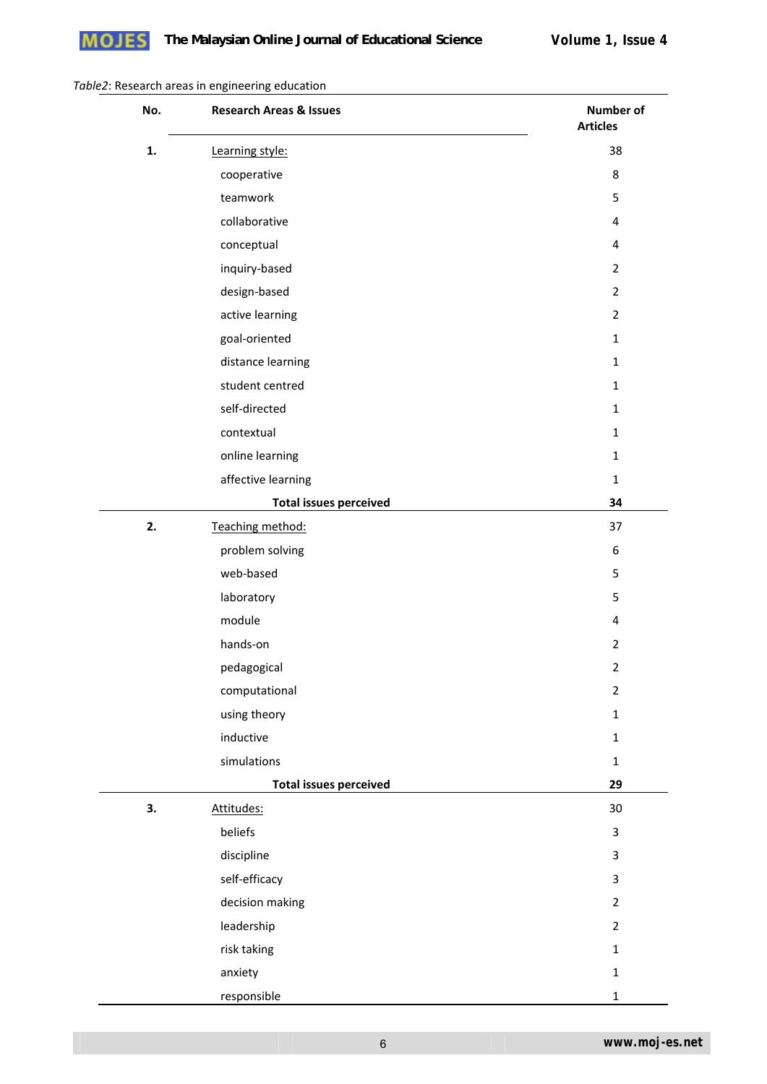

### *Table2*: Research areas in engineering education

| No. | <b>Research Areas &amp; Issues</b> | <b>Number of</b><br><b>Articles</b> |
|-----|------------------------------------|-------------------------------------|
| 1.  | Learning style:                    | 38                                  |
|     | cooperative                        | 8                                   |
|     | teamwork                           | 5                                   |
|     | collaborative                      | 4                                   |
|     | conceptual                         | 4                                   |
|     | inquiry-based                      | $\overline{2}$                      |
|     | design-based                       | $\overline{2}$                      |
|     | active learning                    | $\overline{2}$                      |
|     | goal-oriented                      | $\mathbf{1}$                        |
|     | distance learning                  | $\mathbf{1}$                        |
|     | student centred                    | $\mathbf{1}$                        |
|     | self-directed                      | $\mathbf{1}$                        |
|     | contextual                         | $\mathbf{1}$                        |
|     | online learning                    | $\mathbf{1}$                        |
|     | affective learning                 | $\mathbf{1}$                        |
|     | <b>Total issues perceived</b>      | 34                                  |
| 2.  | Teaching method:                   | 37                                  |
|     | problem solving                    | 6                                   |
|     | web-based                          | 5                                   |
|     | laboratory                         | 5                                   |
|     | module                             | 4                                   |
|     | hands-on                           | $\overline{2}$                      |
|     | pedagogical                        | $\overline{2}$                      |
|     | computational                      | $\overline{2}$                      |
|     | using theory                       | $\mathbf 1$                         |
|     | inductive                          | $\mathbf 1$                         |
|     | simulations                        | $\mathbf 1$                         |
|     | <b>Total issues perceived</b>      | 29                                  |
| 3.  | Attitudes:                         | 30                                  |
|     | beliefs                            | $\mathsf{3}$                        |
|     | discipline                         | $\mathsf{3}$                        |
|     | self-efficacy                      | $\overline{3}$                      |
|     | decision making                    | $\overline{2}$                      |
|     | leadership                         | $\overline{2}$                      |
|     | risk taking                        | $\mathbf{1}$                        |
|     | anxiety                            | $\mathbf{1}$                        |
|     | responsible                        | $\mathbf{1}$                        |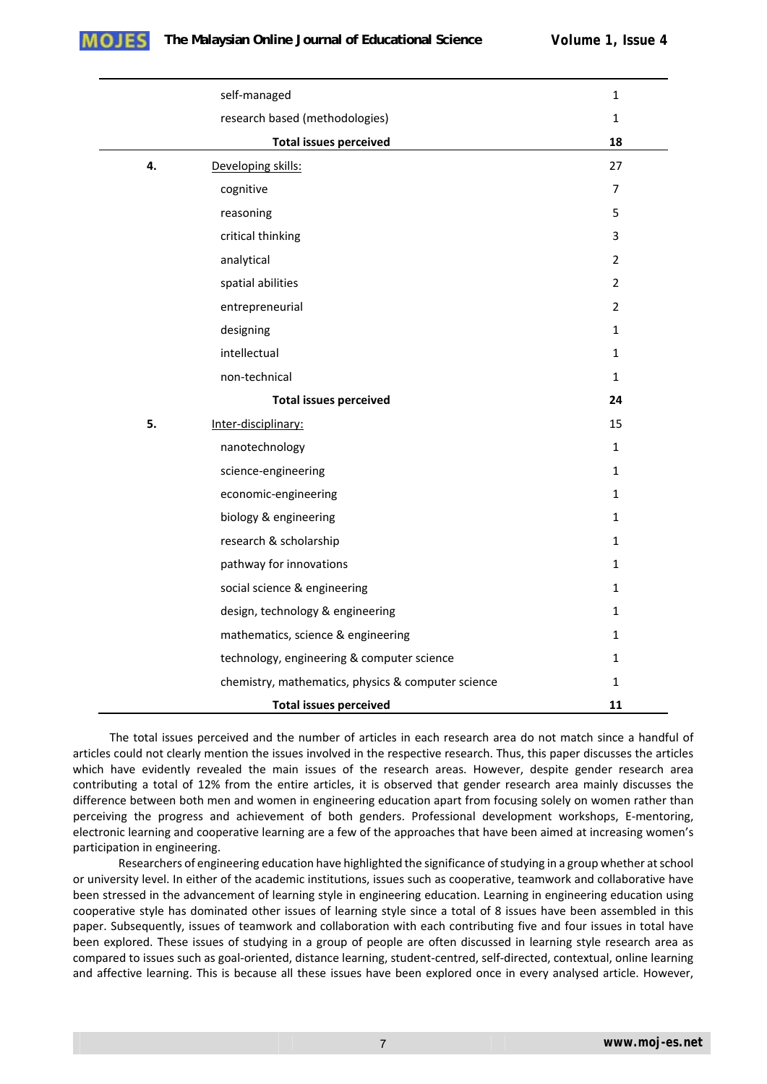

|    | $\mathbf{1}$                                       |                |
|----|----------------------------------------------------|----------------|
|    | research based (methodologies)                     | $\mathbf 1$    |
|    | <b>Total issues perceived</b>                      | 18             |
| 4. | Developing skills:                                 | 27             |
|    | cognitive                                          | $\overline{7}$ |
|    | reasoning                                          | 5              |
|    | critical thinking                                  | 3              |
|    | analytical                                         | $\overline{2}$ |
|    | spatial abilities                                  | $\overline{2}$ |
|    | entrepreneurial                                    | $\overline{2}$ |
|    | designing                                          | $\mathbf{1}$   |
|    | intellectual                                       | $\mathbf{1}$   |
|    | non-technical                                      | $\mathbf{1}$   |
|    | 24                                                 |                |
| 5. | Inter-disciplinary:                                | 15             |
|    | nanotechnology                                     | $\mathbf{1}$   |
|    | science-engineering                                | $\mathbf{1}$   |
|    | economic-engineering                               | $\mathbf{1}$   |
|    | biology & engineering                              | $\mathbf{1}$   |
|    | research & scholarship                             | $\mathbf{1}$   |
|    | pathway for innovations                            | $\mathbf{1}$   |
|    | social science & engineering                       | $\mathbf{1}$   |
|    | design, technology & engineering                   | $\mathbf{1}$   |
|    | mathematics, science & engineering                 | $\mathbf{1}$   |
|    | technology, engineering & computer science         | $\mathbf{1}$   |
|    | chemistry, mathematics, physics & computer science | $\mathbf{1}$   |
|    | <b>Total issues perceived</b>                      | 11             |

The total issues perceived and the number of articles in each research area do not match since a handful of articles could not clearly mention the issues involved in the respective research. Thus, this paper discusses the articles which have evidently revealed the main issues of the research areas. However, despite gender research area contributing a total of 12% from the entire articles, it is observed that gender research area mainly discusses the difference between both men and women in engineering education apart from focusing solely on women rather than perceiving the progress and achievement of both genders. Professional development workshops, E-mentoring, electronic learning and cooperative learning are a few of the approaches that have been aimed at increasing women's participation in engineering.

Researchers of engineering education have highlighted the significance of studying in a group whether at school or university level. In either of the academic institutions, issues such as cooperative, teamwork and collaborative have been stressed in the advancement of learning style in engineering education. Learning in engineering education using cooperative style has dominated other issues of learning style since a total of 8 issues have been assembled in this paper. Subsequently, issues of teamwork and collaboration with each contributing five and four issues in total have been explored. These issues of studying in a group of people are often discussed in learning style research area as compared to issues such as goal‐oriented, distance learning, student‐centred, self‐directed, contextual, online learning and affective learning. This is because all these issues have been explored once in every analysed article. However,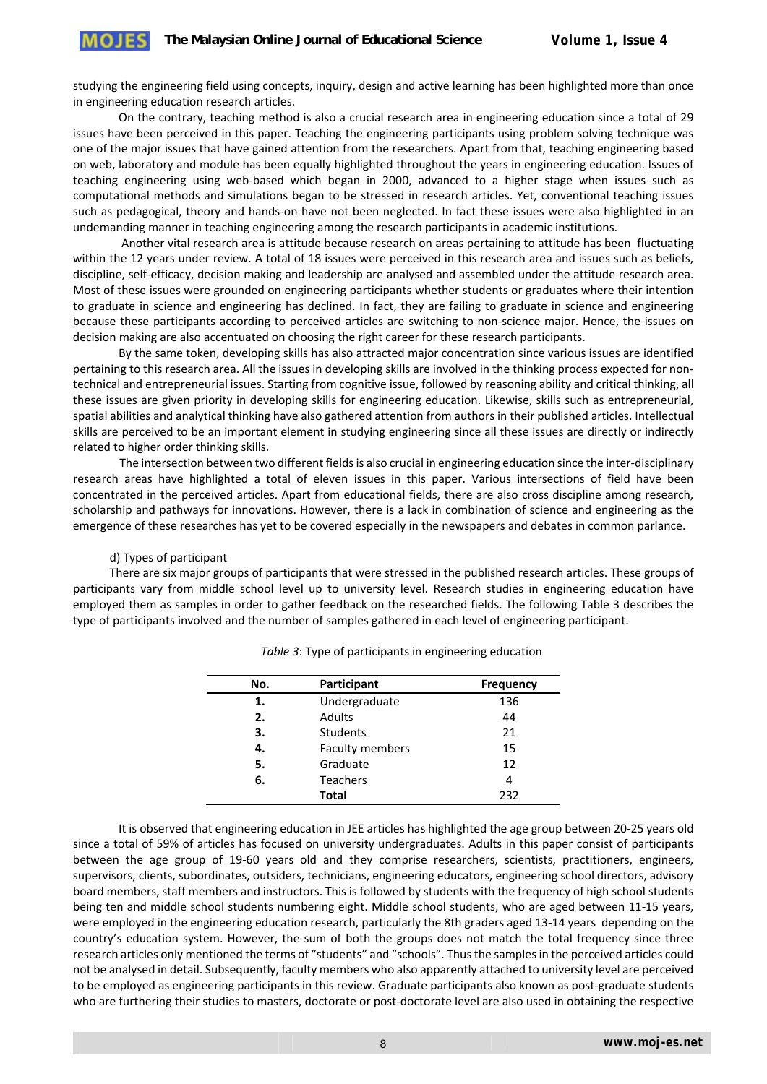studying the engineering field using concepts, inquiry, design and active learning has been highlighted more than once in engineering education research articles.

On the contrary, teaching method is also a crucial research area in engineering education since a total of 29 issues have been perceived in this paper. Teaching the engineering participants using problem solving technique was one of the major issues that have gained attention from the researchers. Apart from that, teaching engineering based on web, laboratory and module has been equally highlighted throughout the years in engineering education. Issues of teaching engineering using web‐based which began in 2000, advanced to a higher stage when issues such as computational methods and simulations began to be stressed in research articles. Yet, conventional teaching issues such as pedagogical, theory and hands‐on have not been neglected. In fact these issues were also highlighted in an undemanding manner in teaching engineering among the research participants in academic institutions.

 Another vital research area is attitude because research on areas pertaining to attitude has been fluctuating within the 12 years under review. A total of 18 issues were perceived in this research area and issues such as beliefs, discipline, self‐efficacy, decision making and leadership are analysed and assembled under the attitude research area. Most of these issues were grounded on engineering participants whether students or graduates where their intention to graduate in science and engineering has declined. In fact, they are failing to graduate in science and engineering because these participants according to perceived articles are switching to non‐science major. Hence, the issues on decision making are also accentuated on choosing the right career for these research participants.

By the same token, developing skills has also attracted major concentration since various issues are identified pertaining to this research area. All the issues in developing skills are involved in the thinking process expected for nontechnical and entrepreneurial issues. Starting from cognitive issue, followed by reasoning ability and critical thinking, all these issues are given priority in developing skills for engineering education. Likewise, skills such as entrepreneurial, spatial abilities and analytical thinking have also gathered attention from authors in their published articles. Intellectual skills are perceived to be an important element in studying engineering since all these issues are directly or indirectly related to higher order thinking skills.

The intersection between two different fieldsis also crucial in engineering education since the inter‐disciplinary research areas have highlighted a total of eleven issues in this paper. Various intersections of field have been concentrated in the perceived articles. Apart from educational fields, there are also cross discipline among research, scholarship and pathways for innovations. However, there is a lack in combination of science and engineering as the emergence of these researches has yet to be covered especially in the newspapers and debates in common parlance.

d) Types of participant

There are six major groups of participants that were stressed in the published research articles. These groups of participants vary from middle school level up to university level. Research studies in engineering education have employed them as samples in order to gather feedback on the researched fields. The following Table 3 describes the type of participants involved and the number of samples gathered in each level of engineering participant.

| No. | Participant            | <b>Frequency</b> |
|-----|------------------------|------------------|
| 1.  | Undergraduate          | 136              |
| 2.  | <b>Adults</b>          | 44               |
| З.  | Students               | 21               |
| 4.  | <b>Faculty members</b> | 15               |
| 5.  | Graduate               | 12               |
| 6.  | <b>Teachers</b>        | 4                |
|     | <b>Total</b>           | 232              |

*Table 3*: Type of participants in engineering education

It is observed that engineering education in JEE articles has highlighted the age group between 20‐25 years old since a total of 59% of articles has focused on university undergraduates. Adults in this paper consist of participants between the age group of 19‐60 years old and they comprise researchers, scientists, practitioners, engineers, supervisors, clients, subordinates, outsiders, technicians, engineering educators, engineering school directors, advisory board members, staff members and instructors. This is followed by students with the frequency of high school students being ten and middle school students numbering eight. Middle school students, who are aged between 11‐15 years, were employed in the engineering education research, particularly the 8th graders aged 13‐14 years depending on the country's education system. However, the sum of both the groups does not match the total frequency since three research articles only mentioned the terms of "students" and "schools". Thusthe samplesin the perceived articles could not be analysed in detail. Subsequently, faculty members who also apparently attached to university level are perceived to be employed as engineering participants in this review. Graduate participants also known as post-graduate students who are furthering their studies to masters, doctorate or post-doctorate level are also used in obtaining the respective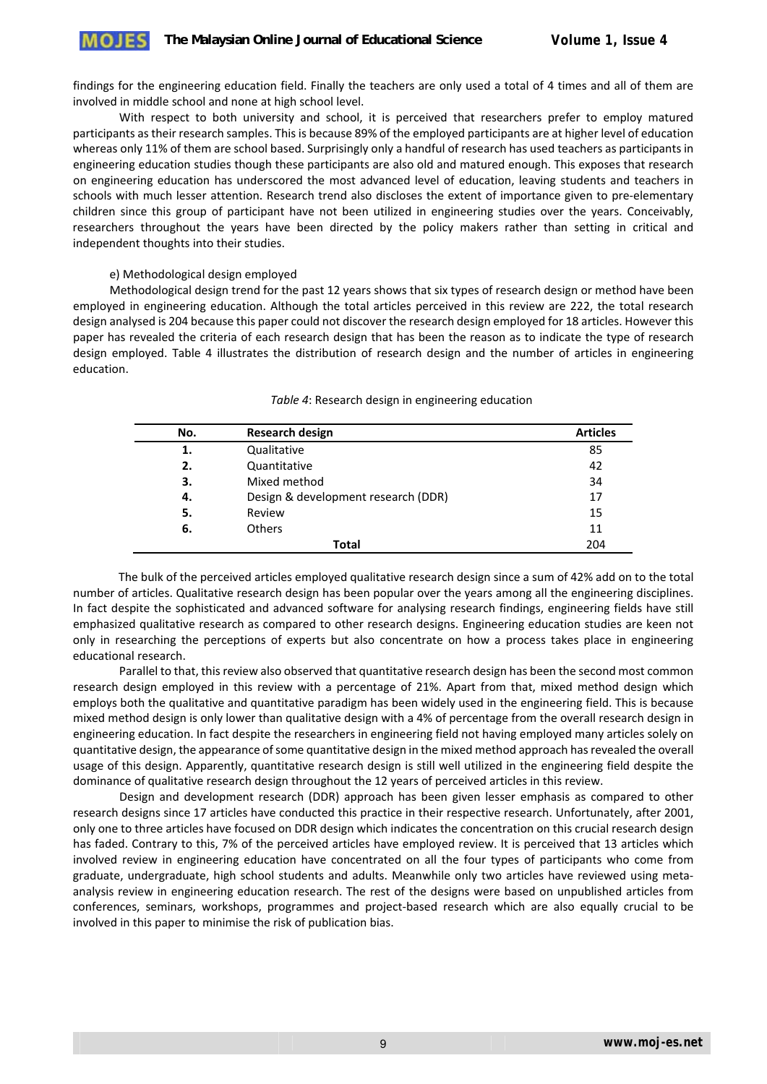findings for the engineering education field. Finally the teachers are only used a total of 4 times and all of them are involved in middle school and none at high school level.

With respect to both university and school, it is perceived that researchers prefer to employ matured participants astheir research samples. This is because 89% of the employed participants are at higher level of education whereas only 11% of them are school based. Surprisingly only a handful of research has used teachers as participants in engineering education studies though these participants are also old and matured enough. This exposes that research on engineering education has underscored the most advanced level of education, leaving students and teachers in schools with much lesser attention. Research trend also discloses the extent of importance given to pre-elementary children since this group of participant have not been utilized in engineering studies over the years. Conceivably, researchers throughout the years have been directed by the policy makers rather than setting in critical and independent thoughts into their studies.

e) Methodological design employed

Methodological design trend for the past 12 years shows that six types of research design or method have been employed in engineering education. Although the total articles perceived in this review are 222, the total research design analysed is 204 because this paper could not discover the research design employed for 18 articles. However this paper has revealed the criteria of each research design that has been the reason as to indicate the type of research design employed. Table 4 illustrates the distribution of research design and the number of articles in engineering education.

| No. | <b>Research design</b>              | <b>Articles</b> |
|-----|-------------------------------------|-----------------|
| 1.  | Qualitative                         | 85              |
| 2.  | Quantitative                        | 42              |
| З.  | Mixed method                        | 34              |
| 4.  | Design & development research (DDR) | 17              |
| 5.  | Review                              | 15              |
| 6.  | <b>Others</b>                       | 11              |
|     | Total                               | 204             |

#### *Table 4*: Research design in engineering education

The bulk of the perceived articles employed qualitative research design since a sum of 42% add on to the total number of articles. Qualitative research design has been popular over the years among all the engineering disciplines. In fact despite the sophisticated and advanced software for analysing research findings, engineering fields have still emphasized qualitative research as compared to other research designs. Engineering education studies are keen not only in researching the perceptions of experts but also concentrate on how a process takes place in engineering educational research.

Parallel to that, this review also observed that quantitative research design has been the second most common research design employed in this review with a percentage of 21%. Apart from that, mixed method design which employs both the qualitative and quantitative paradigm has been widely used in the engineering field. This is because mixed method design is only lower than qualitative design with a 4% of percentage from the overall research design in engineering education. In fact despite the researchers in engineering field not having employed many articles solely on quantitative design, the appearance ofsome quantitative design in the mixed method approach hasrevealed the overall usage of this design. Apparently, quantitative research design is still well utilized in the engineering field despite the dominance of qualitative research design throughout the 12 years of perceived articles in this review.

Design and development research (DDR) approach has been given lesser emphasis as compared to other research designs since 17 articles have conducted this practice in their respective research. Unfortunately, after 2001, only one to three articles have focused on DDR design which indicates the concentration on this crucial research design has faded. Contrary to this, 7% of the perceived articles have employed review. It is perceived that 13 articles which involved review in engineering education have concentrated on all the four types of participants who come from graduate, undergraduate, high school students and adults. Meanwhile only two articles have reviewed using meta‐ analysis review in engineering education research. The rest of the designs were based on unpublished articles from conferences, seminars, workshops, programmes and project-based research which are also equally crucial to be involved in this paper to minimise the risk of publication bias.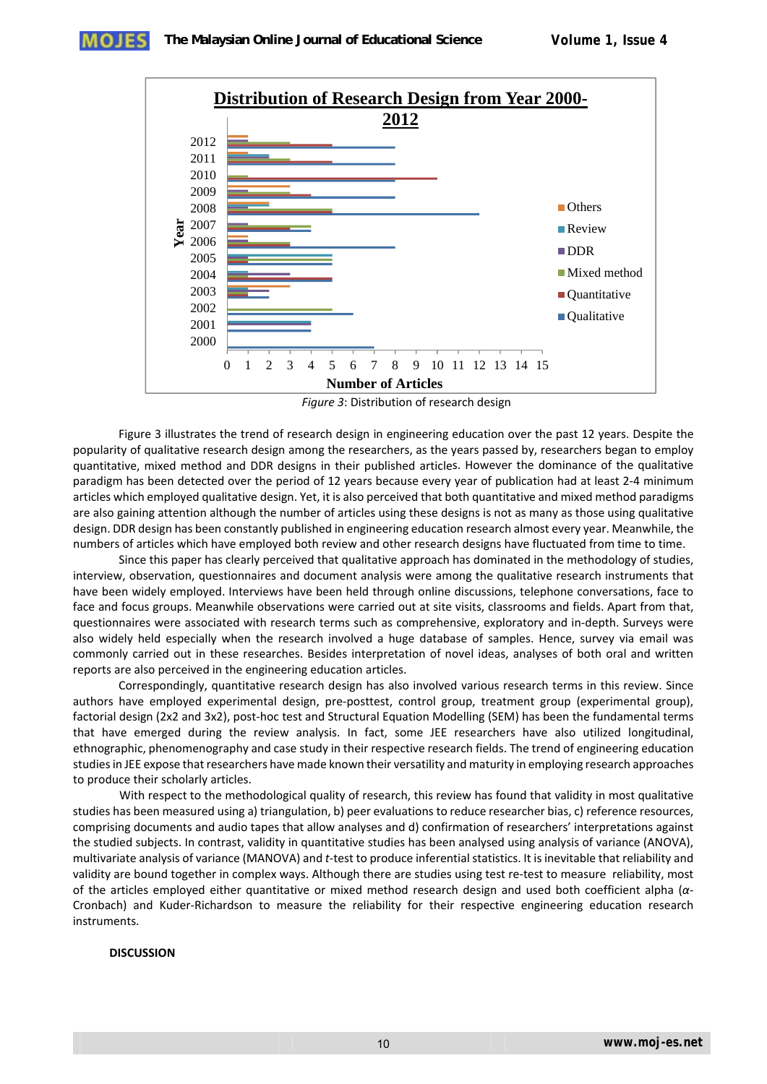**The Malaysian Online Journal of Educational Science** *Volume 1, Issue 4*



*Figure 3*: Distribution of research design

Figure 3 illustrates the trend of research design in engineering education over the past 12 years. Despite the popularity of qualitative research design among the researchers, as the years passed by, researchers began to employ quantitative, mixed method and DDR designs in their published articles. However the dominance of the qualitative paradigm has been detected over the period of 12 years because every year of publication had at least 2‐4 minimum articles which employed qualitative design. Yet, it is also perceived that both quantitative and mixed method paradigms are also gaining attention although the number of articles using these designs is not as many as those using qualitative design. DDR design has been constantly published in engineering education research almost every year. Meanwhile, the numbers of articles which have employed both review and other research designs have fluctuated from time to time.

Since this paper has clearly perceived that qualitative approach has dominated in the methodology of studies, interview, observation, questionnaires and document analysis were among the qualitative research instruments that have been widely employed. Interviews have been held through online discussions, telephone conversations, face to face and focus groups. Meanwhile observations were carried out at site visits, classrooms and fields. Apart from that, questionnaires were associated with research terms such as comprehensive, exploratory and in‐depth. Surveys were also widely held especially when the research involved a huge database of samples. Hence, survey via email was commonly carried out in these researches. Besides interpretation of novel ideas, analyses of both oral and written reports are also perceived in the engineering education articles.

Correspondingly, quantitative research design has also involved various research terms in this review. Since authors have employed experimental design, pre‐posttest, control group, treatment group (experimental group), factorial design (2x2 and 3x2), post-hoc test and Structural Equation Modelling (SEM) has been the fundamental terms that have emerged during the review analysis. In fact, some JEE researchers have also utilized longitudinal, ethnographic, phenomenography and case study in their respective research fields. The trend of engineering education studiesin JEE expose that researchers have made known their versatility and maturity in employing research approaches to produce their scholarly articles.

With respect to the methodological quality of research, this review has found that validity in most qualitative studies has been measured using a) triangulation, b) peer evaluations to reduce researcher bias, c) reference resources, comprising documents and audio tapes that allow analyses and d) confirmation of researchers' interpretations against the studied subjects. In contrast, validity in quantitative studies has been analysed using analysis of variance (ANOVA), multivariate analysis of variance (MANOVA) and *t*‐test to produce inferential statistics. It is inevitable that reliability and validity are bound together in complex ways. Although there are studies using test re-test to measure reliability, most of the articles employed either quantitative or mixed method research design and used both coefficient alpha (*α*‐ Cronbach) and Kuder‐Richardson to measure the reliability for their respective engineering education research instruments.

#### **DISCUSSION**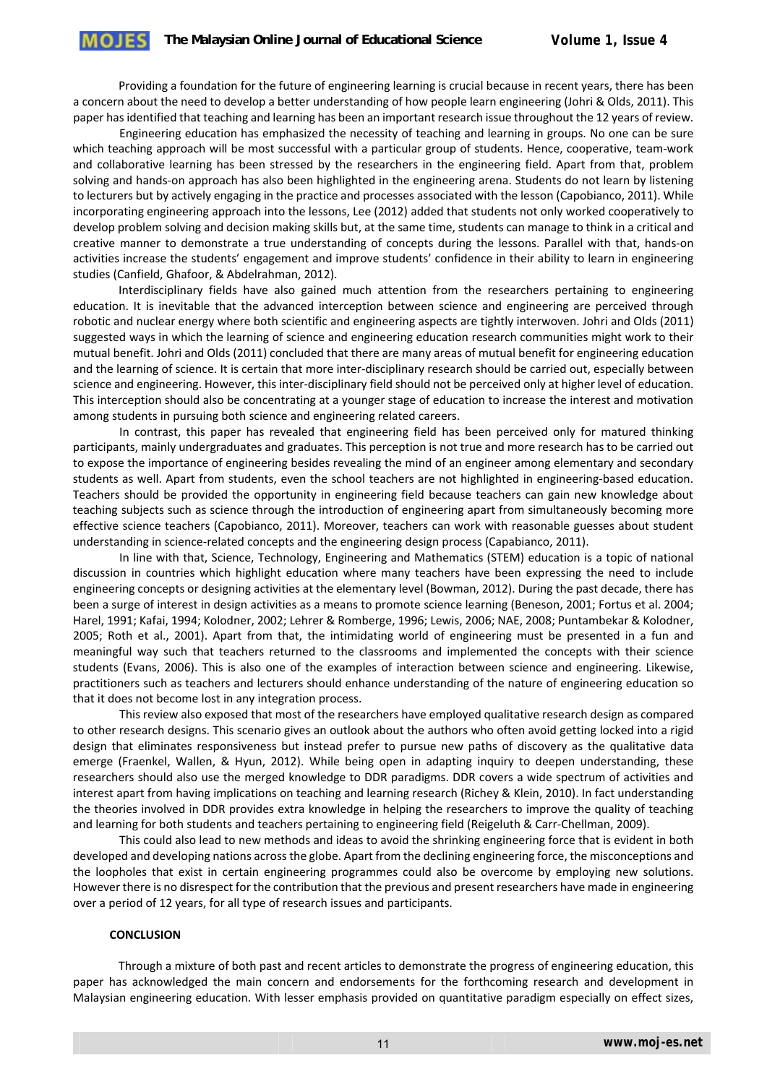Providing a foundation for the future of engineering learning is crucial because in recent years, there has been a concern about the need to develop a better understanding of how people learn engineering (Johri & Olds, 2011). This paper hasidentified that teaching and learning has been an important research issue throughout the 12 years of review.

Engineering education has emphasized the necessity of teaching and learning in groups. No one can be sure which teaching approach will be most successful with a particular group of students. Hence, cooperative, team-work and collaborative learning has been stressed by the researchers in the engineering field. Apart from that, problem solving and hands‐on approach has also been highlighted in the engineering arena. Students do not learn by listening to lecturers but by actively engaging in the practice and processes associated with the lesson (Capobianco, 2011). While incorporating engineering approach into the lessons, Lee (2012) added that students not only worked cooperatively to develop problem solving and decision making skills but, at the same time, students can manage to think in a critical and creative manner to demonstrate a true understanding of concepts during the lessons. Parallel with that, hands‐on activities increase the students' engagement and improve students' confidence in their ability to learn in engineering studies (Canfield, Ghafoor, & Abdelrahman, 2012).

Interdisciplinary fields have also gained much attention from the researchers pertaining to engineering education. It is inevitable that the advanced interception between science and engineering are perceived through robotic and nuclear energy where both scientific and engineering aspects are tightly interwoven. Johri and Olds (2011) suggested ways in which the learning of science and engineering education research communities might work to their mutual benefit. Johri and Olds (2011) concluded that there are many areas of mutual benefit for engineering education and the learning of science. It is certain that more inter‐disciplinary research should be carried out, especially between science and engineering. However, this inter‐disciplinary field should not be perceived only at higher level of education. This interception should also be concentrating at a younger stage of education to increase the interest and motivation among students in pursuing both science and engineering related careers.

In contrast, this paper has revealed that engineering field has been perceived only for matured thinking participants, mainly undergraduates and graduates. This perception is not true and more research has to be carried out to expose the importance of engineering besides revealing the mind of an engineer among elementary and secondary students as well. Apart from students, even the school teachers are not highlighted in engineering‐based education. Teachers should be provided the opportunity in engineering field because teachers can gain new knowledge about teaching subjects such as science through the introduction of engineering apart from simultaneously becoming more effective science teachers (Capobianco, 2011). Moreover, teachers can work with reasonable guesses about student understanding in science-related concepts and the engineering design process (Capabianco, 2011).

In line with that, Science, Technology, Engineering and Mathematics (STEM) education is a topic of national discussion in countries which highlight education where many teachers have been expressing the need to include engineering concepts or designing activities at the elementary level (Bowman, 2012). During the past decade, there has been a surge of interest in design activities as a means to promote science learning (Beneson, 2001; Fortus et al. 2004; Harel, 1991; Kafai, 1994; Kolodner, 2002; Lehrer & Romberge, 1996; Lewis, 2006; NAE, 2008; Puntambekar & Kolodner, 2005; Roth et al., 2001). Apart from that, the intimidating world of engineering must be presented in a fun and meaningful way such that teachers returned to the classrooms and implemented the concepts with their science students (Evans, 2006). This is also one of the examples of interaction between science and engineering. Likewise, practitioners such as teachers and lecturers should enhance understanding of the nature of engineering education so that it does not become lost in any integration process.

This review also exposed that most of the researchers have employed qualitative research design as compared to other research designs. This scenario gives an outlook about the authors who often avoid getting locked into a rigid design that eliminates responsiveness but instead prefer to pursue new paths of discovery as the qualitative data emerge (Fraenkel, Wallen, & Hyun, 2012). While being open in adapting inquiry to deepen understanding, these researchers should also use the merged knowledge to DDR paradigms. DDR covers a wide spectrum of activities and interest apart from having implications on teaching and learning research (Richey & Klein, 2010). In fact understanding the theories involved in DDR provides extra knowledge in helping the researchers to improve the quality of teaching and learning for both students and teachers pertaining to engineering field (Reigeluth & Carr-Chellman, 2009).

This could also lead to new methods and ideas to avoid the shrinking engineering force that is evident in both developed and developing nations acrossthe globe. Apart from the declining engineering force, the misconceptions and the loopholes that exist in certain engineering programmes could also be overcome by employing new solutions. However there is no disrespect for the contribution that the previous and present researchers have made in engineering over a period of 12 years, for all type of research issues and participants.

#### **CONCLUSION**

Through a mixture of both past and recent articles to demonstrate the progress of engineering education, this paper has acknowledged the main concern and endorsements for the forthcoming research and development in Malaysian engineering education. With lesser emphasis provided on quantitative paradigm especially on effect sizes,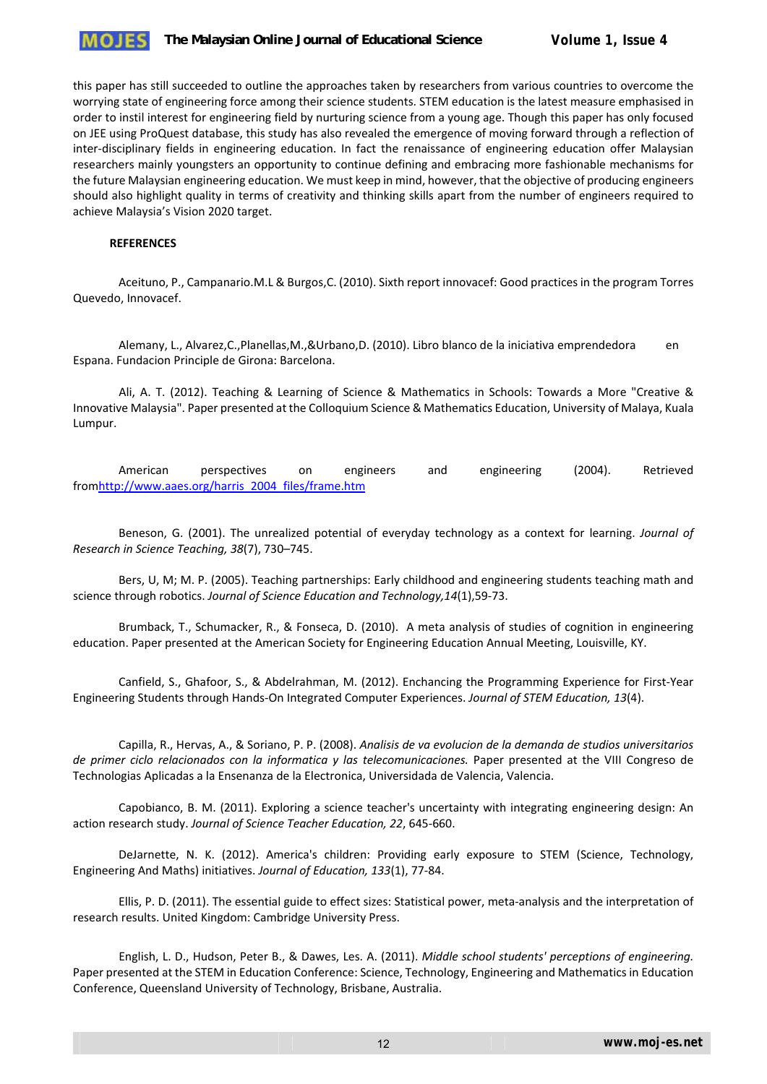

this paper has still succeeded to outline the approaches taken by researchers from various countries to overcome the worrying state of engineering force among their science students. STEM education is the latest measure emphasised in order to instil interest for engineering field by nurturing science from a young age. Though this paper has only focused on JEE using ProQuest database, this study has also revealed the emergence of moving forward through a reflection of inter-disciplinary fields in engineering education. In fact the renaissance of engineering education offer Malaysian researchers mainly youngsters an opportunity to continue defining and embracing more fashionable mechanisms for the future Malaysian engineering education. We must keep in mind, however, that the objective of producing engineers should also highlight quality in terms of creativity and thinking skills apart from the number of engineers required to achieve Malaysia's Vision 2020 target.

#### **REFERENCES**

Aceituno, P., Campanario.M.L & Burgos,C. (2010). Sixth report innovacef: Good practicesin the program Torres Quevedo, Innovacef.

Alemany, L., Alvarez,C.,Planellas,M.,&Urbano,D. (2010). Libro blanco de la iniciativa emprendedora en Espana. Fundacion Principle de Girona: Barcelona.

Ali, A. T. (2012). Teaching & Learning of Science & Mathematics in Schools: Towards a More "Creative & Innovative Malaysia". Paper presented at the Colloquium Science & Mathematics Education, University of Malaya, Kuala Lumpur.

American perspectives on engineers and engineering (2004). Retrieved fromhttp://www.aaes.org/harris\_2004\_files/frame.htm

Beneson, G. (2001). The unrealized potential of everyday technology as a context for learning. *Journal of Research in Science Teaching, 38*(7), 730–745.

Bers, U, M; M. P. (2005). Teaching partnerships: Early childhood and engineering students teaching math and science through robotics. *Journal of Science Education and Technology,14*(1),59‐73.

Brumback, T., Schumacker, R., & Fonseca, D. (2010). A meta analysis of studies of cognition in engineering education. Paper presented at the American Society for Engineering Education Annual Meeting, Louisville, KY.

Canfield, S., Ghafoor, S., & Abdelrahman, M. (2012). Enchancing the Programming Experience for First‐Year Engineering Students through Hands‐On Integrated Computer Experiences. *Journal of STEM Education, 13*(4).

Capilla, R., Hervas, A., & Soriano, P. P. (2008). *Analisis de va evolucion de la demanda de studios universitarios de primer ciclo relacionados con la informatica y las telecomunicaciones.* Paper presented at the VIII Congreso de Technologias Aplicadas a la Ensenanza de la Electronica, Universidada de Valencia, Valencia.

Capobianco, B. M. (2011). Exploring a science teacher's uncertainty with integrating engineering design: An action research study. *Journal of Science Teacher Education, 22*, 645‐660.

DeJarnette, N. K. (2012). America's children: Providing early exposure to STEM (Science, Technology, Engineering And Maths) initiatives. *Journal of Education, 133*(1), 77‐84.

Ellis, P. D. (2011). The essential guide to effect sizes: Statistical power, meta‐analysis and the interpretation of research results. United Kingdom: Cambridge University Press.

English, L. D., Hudson, Peter B., & Dawes, Les. A. (2011). *Middle school students' perceptions of engineering.* Paper presented at the STEM in Education Conference: Science, Technology, Engineering and Mathematics in Education Conference, Queensland University of Technology, Brisbane, Australia.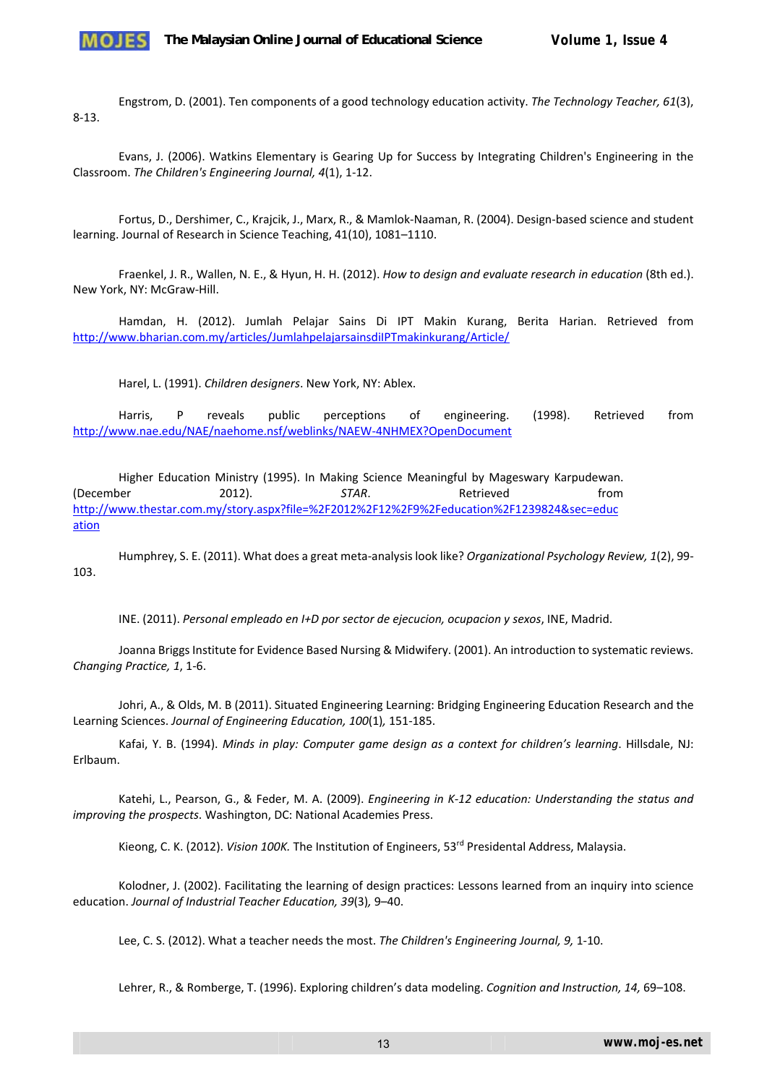

Engstrom, D. (2001). Ten components of a good technology education activity. *The Technology Teacher, 61*(3), 8‐13.

Evans, J. (2006). Watkins Elementary is Gearing Up for Success by Integrating Children's Engineering in the Classroom. *The Children's Engineering Journal, 4*(1), 1‐12.

Fortus, D., Dershimer, C., Krajcik, J., Marx, R., & Mamlok‐Naaman, R. (2004). Design‐based science and student learning. Journal of Research in Science Teaching, 41(10), 1081–1110.

Fraenkel, J. R., Wallen, N. E., & Hyun, H. H. (2012). *How to design and evaluate research in education* (8th ed.). New York, NY: McGraw‐Hill.

Hamdan, H. (2012). Jumlah Pelajar Sains Di IPT Makin Kurang, Berita Harian. Retrieved from http://www.bharian.com.my/articles/JumlahpelajarsainsdiIPTmakinkurang/Article/

Harel, L. (1991). *Children designers*. New York, NY: Ablex.

Harris, P reveals public perceptions of engineering. (1998). Retrieved from http://www.nae.edu/NAE/naehome.nsf/weblinks/NAEW‐4NHMEX?OpenDocument

Higher Education Ministry (1995). In Making Science Meaningful by Mageswary Karpudewan. (December 2012). *STAR*. Retrieved from http://www.thestar.com.my/story.aspx?file=%2F2012%2F12%2F9%2Feducation%2F1239824&sec=educ ation

Humphrey, S. E. (2011). What does a great meta‐analysis look like? *Organizational Psychology Review, 1*(2), 99‐ 103.

INE. (2011). *Personal empleado en I+D por sector de ejecucion, ocupacion y sexos*, INE, Madrid.

Joanna Briggs Institute for Evidence Based Nursing & Midwifery. (2001). An introduction to systematic reviews. *Changing Practice, 1*, 1‐6.

Johri, A., & Olds, M. B (2011). Situated Engineering Learning: Bridging Engineering Education Research and the Learning Sciences. *Journal of Engineering Education, 100*(1)*,* 151‐185.

Kafai, Y. B. (1994). *Minds in play: Computer game design as a context for children's learning*. Hillsdale, NJ: Erlbaum.

Katehi, L., Pearson, G., & Feder, M. A. (2009). *Engineering in K‐12 education: Understanding the status and improving the prospects*. Washington, DC: National Academies Press.

Kieong, C. K. (2012). *Vision 100K*. The Institution of Engineers, 53<sup>rd</sup> Presidental Address, Malaysia.

Kolodner, J. (2002). Facilitating the learning of design practices: Lessons learned from an inquiry into science education. *Journal of Industrial Teacher Education, 39*(3)*,* 9–40.

Lee, C. S. (2012). What a teacher needs the most. *The Children's Engineering Journal, 9,* 1‐10.

Lehrer, R., & Romberge, T. (1996). Exploring children's data modeling. *Cognition and Instruction, 14,* 69–108.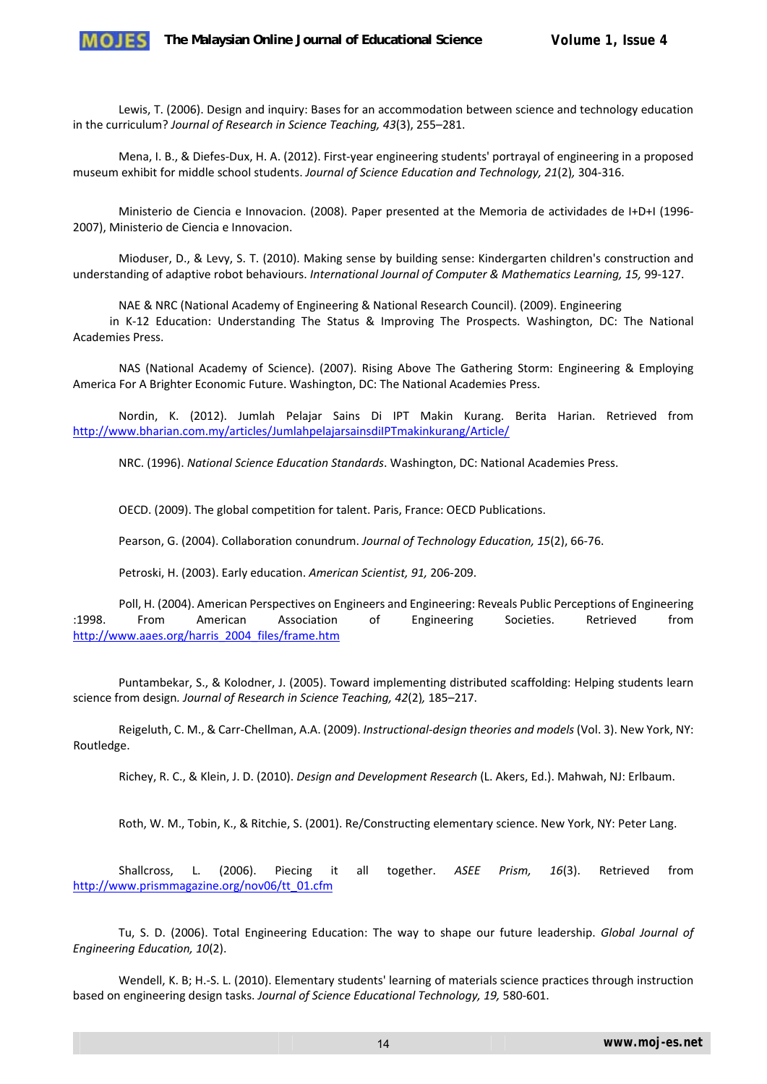

Lewis, T. (2006). Design and inquiry: Bases for an accommodation between science and technology education in the curriculum? *Journal of Research in Science Teaching, 43*(3), 255–281.

Mena, I. B., & Diefes‐Dux, H. A. (2012). First‐year engineering students' portrayal of engineering in a proposed museum exhibit for middle school students. *Journal of Science Education and Technology, 21*(2)*,* 304‐316.

Ministerio de Ciencia e Innovacion. (2008). Paper presented at the Memoria de actividades de I+D+I (1996‐ 2007), Ministerio de Ciencia e Innovacion.

Mioduser, D., & Levy, S. T. (2010). Making sense by building sense: Kindergarten children's construction and understanding of adaptive robot behaviours. *International Journal of Computer & Mathematics Learning, 15,* 99‐127.

NAE & NRC (National Academy of Engineering & National Research Council). (2009). Engineering

in K‐12 Education: Understanding The Status & Improving The Prospects. Washington, DC: The National Academies Press.

NAS (National Academy of Science). (2007). Rising Above The Gathering Storm: Engineering & Employing America For A Brighter Economic Future. Washington, DC: The National Academies Press.

Nordin, K. (2012). Jumlah Pelajar Sains Di IPT Makin Kurang. Berita Harian. Retrieved from http://www.bharian.com.my/articles/JumlahpelajarsainsdiIPTmakinkurang/Article/

NRC. (1996). *National Science Education Standards*. Washington, DC: National Academies Press.

OECD. (2009). The global competition for talent. Paris, France: OECD Publications.

Pearson, G. (2004). Collaboration conundrum. *Journal of Technology Education, 15*(2), 66‐76.

Petroski, H. (2003). Early education. *American Scientist, 91,* 206‐209.

Poll, H. (2004). American Perspectives on Engineers and Engineering: Reveals Public Perceptions of Engineering :1998. From American Association of Engineering Societies. Retrieved from http://www.aaes.org/harris\_2004\_files/frame.htm

Puntambekar, S., & Kolodner, J. (2005). Toward implementing distributed scaffolding: Helping students learn science from design*. Journal of Research in Science Teaching, 42*(2)*,* 185–217.

Reigeluth, C. M., & Carr‐Chellman, A.A. (2009). *Instructional‐design theories and models* (Vol. 3). New York, NY: Routledge.

Richey, R. C., & Klein, J. D. (2010). *Design and Development Research* (L. Akers, Ed.). Mahwah, NJ: Erlbaum.

Roth, W. M., Tobin, K., & Ritchie, S. (2001). Re/Constructing elementary science. New York, NY: Peter Lang.

Shallcross, L. (2006). Piecing it all together. *ASEE Prism, 16*(3). Retrieved from http://www.prismmagazine.org/nov06/tt\_01.cfm

Tu, S. D. (2006). Total Engineering Education: The way to shape our future leadership. *Global Journal of Engineering Education, 10*(2).

Wendell, K. B; H.-S. L. (2010). Elementary students' learning of materials science practices through instruction based on engineering design tasks. *Journal of Science Educational Technology, 19,* 580‐601.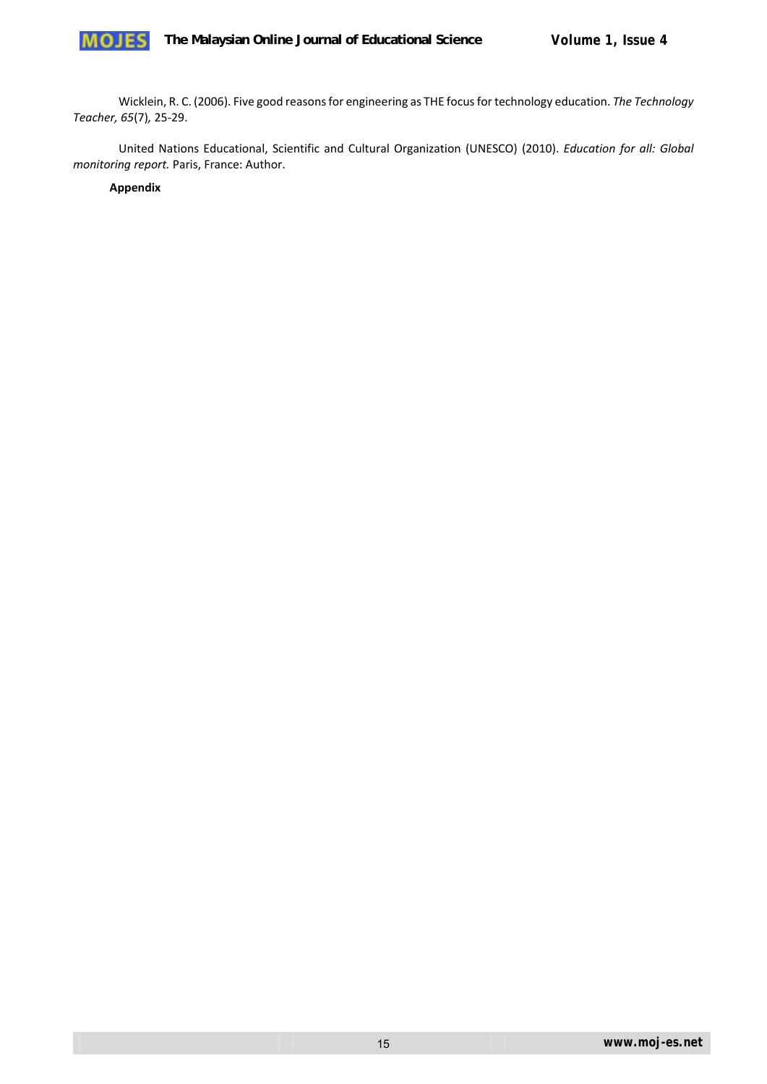

Wicklein, R. C. (2006). Five good reasonsfor engineering as THE focusfor technology education. *The Technology Teacher, 65*(7)*,* 25‐29.

United Nations Educational, Scientific and Cultural Organization (UNESCO) (2010). *Education for all: Global monitoring report.* Paris, France: Author.

**Appendix**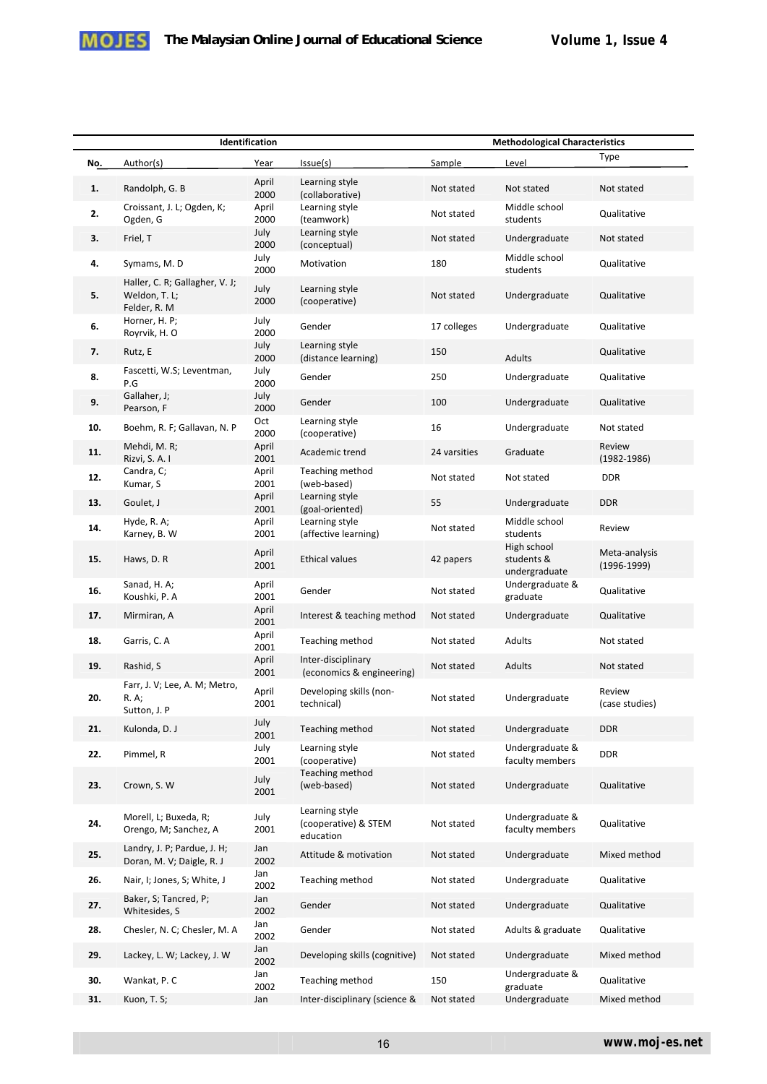

|     | Identification                                                  |               |                                                     | <b>Methodological Characteristics</b> |                                            |                                |
|-----|-----------------------------------------------------------------|---------------|-----------------------------------------------------|---------------------------------------|--------------------------------------------|--------------------------------|
| No. | Author(s)                                                       | Year          | Issue(s)                                            | Sample                                | Level                                      | Type                           |
| 1.  | Randolph, G. B                                                  | April<br>2000 | Learning style<br>(collaborative)                   | Not stated                            | Not stated                                 | Not stated                     |
| 2.  | Croissant, J. L; Ogden, K;<br>Ogden, G                          | April<br>2000 | Learning style<br>(teamwork)                        | Not stated                            | Middle school<br>students                  | Qualitative                    |
| 3.  | Friel, T                                                        | July<br>2000  | Learning style<br>(conceptual)                      | Not stated                            | Undergraduate                              | Not stated                     |
| 4.  | Symams, M.D                                                     | July<br>2000  | Motivation                                          | 180                                   | Middle school<br>students                  | Qualitative                    |
| 5.  | Haller, C. R; Gallagher, V. J;<br>Weldon, T. L;<br>Felder, R. M | July<br>2000  | Learning style<br>(cooperative)                     | Not stated                            | Undergraduate                              | Qualitative                    |
| 6.  | Horner, H. P;<br>Royrvik, H. O                                  | July<br>2000  | Gender                                              | 17 colleges                           | Undergraduate                              | Qualitative                    |
| 7.  | Rutz, E                                                         | July<br>2000  | Learning style<br>(distance learning)               | 150                                   | Adults                                     | Qualitative                    |
| 8.  | Fascetti, W.S; Leventman,<br>P.G                                | July<br>2000  | Gender                                              | 250                                   | Undergraduate                              | Qualitative                    |
| 9.  | Gallaher, J;<br>Pearson, F                                      | July<br>2000  | Gender                                              | 100                                   | Undergraduate                              | Qualitative                    |
| 10. | Boehm, R. F; Gallavan, N. P                                     | Oct<br>2000   | Learning style<br>(cooperative)                     | 16                                    | Undergraduate                              | Not stated                     |
| 11. | Mehdi, M. R;<br>Rizvi, S. A. I                                  | April<br>2001 | Academic trend                                      | 24 varsities                          | Graduate                                   | Review<br>$(1982 - 1986)$      |
| 12. | Candra, C;<br>Kumar, S                                          | April<br>2001 | Teaching method<br>(web-based)                      | Not stated                            | Not stated                                 | <b>DDR</b>                     |
| 13. | Goulet, J                                                       | April<br>2001 | Learning style<br>(goal-oriented)                   | 55                                    | Undergraduate                              | <b>DDR</b>                     |
| 14. | Hyde, R. A;<br>Karney, B. W                                     | April<br>2001 | Learning style<br>(affective learning)              | Not stated                            | Middle school<br>students                  | Review                         |
| 15. | Haws, D. R                                                      | April<br>2001 | <b>Ethical values</b>                               | 42 papers                             | High school<br>students &<br>undergraduate | Meta-analysis<br>$(1996-1999)$ |
| 16. | Sanad, H. A;<br>Koushki, P. A                                   | April<br>2001 | Gender                                              | Not stated                            | Undergraduate &<br>graduate                | Qualitative                    |
| 17. | Mirmiran, A                                                     | April<br>2001 | Interest & teaching method                          | Not stated                            | Undergraduate                              | Qualitative                    |
| 18. | Garris, C. A                                                    | April<br>2001 | Teaching method                                     | Not stated                            | Adults                                     | Not stated                     |
| 19. | Rashid, S                                                       | April<br>2001 | Inter-disciplinary<br>(economics & engineering)     | Not stated                            | Adults                                     | Not stated                     |
| 20. | Farr, J. V; Lee, A. M; Metro,<br>R. A;<br>Sutton, J. P          | April<br>2001 | Developing skills (non-<br>technical)               | Not stated                            | Undergraduate                              | Review<br>(case studies)       |
| 21. | Kulonda, D. J                                                   | July<br>2001  | Teaching method                                     | Not stated                            | Undergraduate                              | <b>DDR</b>                     |
| 22. | Pimmel, R                                                       | July<br>2001  | Learning style<br>(cooperative)                     | Not stated                            | Undergraduate &<br>faculty members         | <b>DDR</b>                     |
| 23. | Crown, S. W                                                     | July<br>2001  | Teaching method<br>(web-based)                      | Not stated                            | Undergraduate                              | Qualitative                    |
| 24. | Morell, L; Buxeda, R;<br>Orengo, M; Sanchez, A                  | July<br>2001  | Learning style<br>(cooperative) & STEM<br>education | Not stated                            | Undergraduate &<br>faculty members         | Qualitative                    |
| 25. | Landry, J. P; Pardue, J. H;<br>Doran, M. V; Daigle, R. J        | Jan<br>2002   | Attitude & motivation                               | Not stated                            | Undergraduate                              | Mixed method                   |
| 26. | Nair, I; Jones, S; White, J                                     | Jan<br>2002   | Teaching method                                     | Not stated                            | Undergraduate                              | Qualitative                    |
| 27. | Baker, S; Tancred, P;<br>Whitesides, S                          | Jan<br>2002   | Gender                                              | Not stated                            | Undergraduate                              | Qualitative                    |
| 28. | Chesler, N. C; Chesler, M. A                                    | Jan<br>2002   | Gender                                              | Not stated                            | Adults & graduate                          | Qualitative                    |
| 29. | Lackey, L. W; Lackey, J. W                                      | Jan<br>2002   | Developing skills (cognitive)                       | Not stated                            | Undergraduate                              | Mixed method                   |
| 30. | Wankat, P.C                                                     | Jan<br>2002   | Teaching method                                     | 150                                   | Undergraduate &<br>graduate                | Qualitative                    |
| 31. | Kuon, T. S;                                                     | Jan           | Inter-disciplinary (science &                       | Not stated                            | Undergraduate                              | Mixed method                   |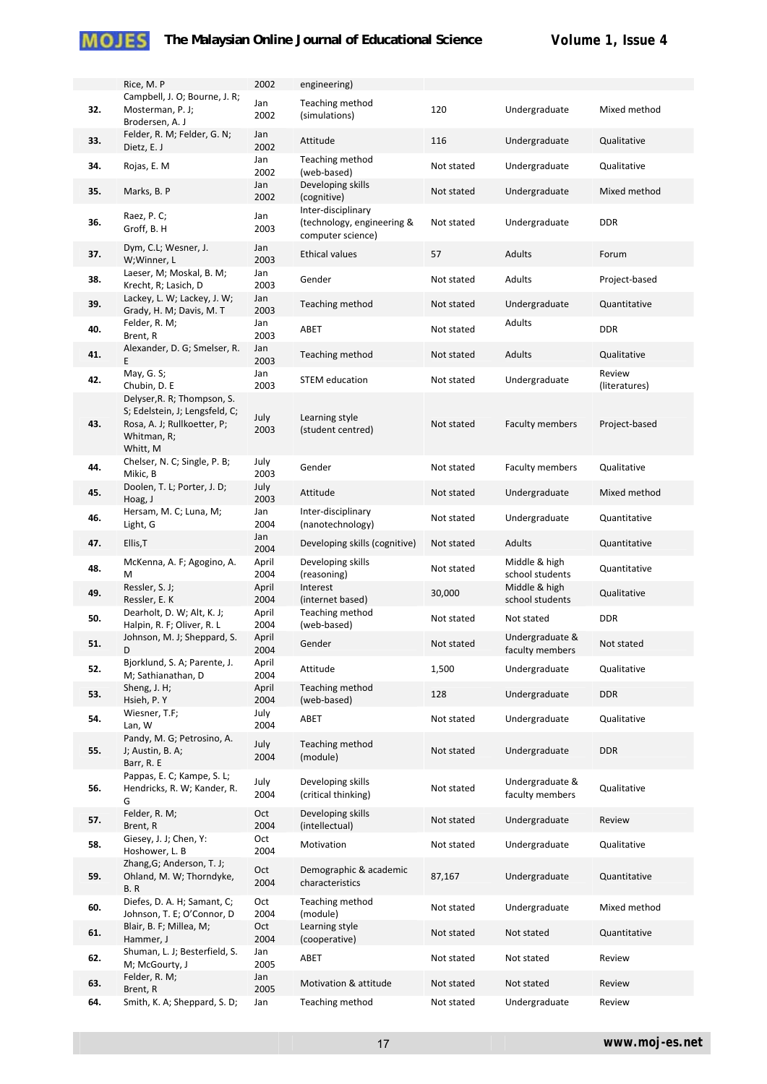|     | Rice, M. P                                                                                                              | 2002          |
|-----|-------------------------------------------------------------------------------------------------------------------------|---------------|
| 32. | Campbell, J. O; Bourne, J. R;<br>Mosterman, P. J;<br>Brodersen, A. J                                                    | Jan<br>2002   |
| 33. | Felder, R. M; Felder, G. N;<br>Dietz, E. J                                                                              | Jan<br>2002   |
| 34. | Rojas, E. M                                                                                                             | Jan<br>2002   |
| 35. | Marks, B. P                                                                                                             | Jan<br>2002   |
| 36. | Raez, P. C;<br>Groff, B. H                                                                                              | Jan<br>2003   |
| 37. | Dym, C.L; Wesner, J.<br>W;Winner, L                                                                                     | Jan<br>2003   |
| 38. | Laeser, M; Moskal, B. M;<br>Krecht, R; Lasich, D                                                                        | Jan<br>2003   |
| 39. | Lackey, L. W; Lackey, J. W;<br>Grady, H. M; Davis, M. T                                                                 | Jan<br>2003   |
| 40. | Felder, R. M;<br>Brent, R                                                                                               | Jan<br>2003   |
| 41. | Alexander, D. G; Smelser, R.<br>Ε                                                                                       | Jan<br>2003   |
| 42. | May, G. S;<br>Chubin, D. E                                                                                              | Jan<br>2003   |
| 43. | Delyser, R. R; Thompson, S.<br>S; Edelstein, J; Lengsfeld, C;<br>Rosa, A. J; Rullkoetter, P;<br>Whitman, R;<br>Whitt, M | July<br>2003  |
| 44. | Chelser, N. C; Single, P. B;<br>Mikic, B                                                                                | July<br>2003  |
| 45. | Doolen, T. L; Porter, J. D;<br>Hoag, J                                                                                  | July<br>2003  |
| 46. | Hersam, M. C; Luna, M;<br>Light, G                                                                                      | Jan<br>2004   |
| 47. | Ellis, T                                                                                                                | Jan<br>2004   |
| 48. | McKenna, A. F; Agogino, A.<br>M                                                                                         | April<br>2004 |
| 49. | Ressler, S. J;<br>Ressler, E. K                                                                                         | April<br>2004 |
| 50. | Dearholt, D. W; Alt, K. J;<br>Halpin, R. F; Oliver, R. L                                                                | April<br>2004 |
| 51. | Johnson, M. J; Sheppard, S.<br>D                                                                                        | April<br>2004 |
| 52. | Bjorklund, S. A; Parente, J.<br>M; Sathianathan, D                                                                      | April<br>2004 |
| 53. | Sheng, J. H;<br>Hsieh, P. Y                                                                                             | April<br>2004 |
| 54. | Wiesner, T.F;<br>Lan, W                                                                                                 | July<br>2004  |
| 55. | Pandy, M. G; Petrosino, A.<br>J; Austin, B. A;<br>Barr, R. E                                                            | July<br>2004  |
| 56. | Pappas, E. C; Kampe, S. L;<br>Hendricks, R. W; Kander, R.<br>G                                                          | July<br>2004  |
| 57. | Felder, R. M;<br>Brent, R                                                                                               | Oct<br>2004   |
| 58. | Giesey, J. J; Chen, Y:<br>Hoshower, L. B                                                                                | Oct<br>2004   |
| 59. | Zhang, G; Anderson, T. J;<br>Ohland, M. W; Thorndyke,<br>B.R                                                            | Oct<br>2004   |
| 60. | Diefes, D. A. H; Samant, C;<br>Johnson, T. E; O'Connor, D                                                               | Oct<br>2004   |
| 61. | Blair, B. F; Millea, M;<br>Hammer, J                                                                                    | Oct<br>2004   |
| 62. | Shuman, L. J; Besterfield, S.<br>M; McGourty, J                                                                         | Jan<br>2005   |
| 63. | Felder, R. M;<br>Brent, R                                                                                               | Jan<br>2005   |
| 64. | Smith. K. A: Sheppard. S. D:                                                                                            | Jan           |

|     | Rice, M. P                                                                                                              | 2002          | engineering)                                                          |            |                                    |                         |
|-----|-------------------------------------------------------------------------------------------------------------------------|---------------|-----------------------------------------------------------------------|------------|------------------------------------|-------------------------|
| 32. | Campbell, J. O; Bourne, J. R;<br>Mosterman, P. J;<br>Brodersen, A. J                                                    | Jan<br>2002   | Teaching method<br>(simulations)                                      | 120        | Undergraduate                      | Mixed method            |
| 33. | Felder, R. M; Felder, G. N;<br>Dietz, E. J                                                                              | Jan<br>2002   | Attitude                                                              | 116        | Undergraduate                      | Qualitative             |
| 34. | Rojas, E. M                                                                                                             | Jan<br>2002   | Teaching method<br>(web-based)                                        | Not stated | Undergraduate                      | Qualitative             |
| 35. | Marks, B. P                                                                                                             | Jan<br>2002   | Developing skills<br>(cognitive)                                      | Not stated | Undergraduate                      | Mixed method            |
| 36. | Raez, P. C;<br>Groff, B. H                                                                                              | Jan<br>2003   | Inter-disciplinary<br>(technology, engineering &<br>computer science) | Not stated | Undergraduate                      | <b>DDR</b>              |
| 37. | Dym, C.L; Wesner, J.<br>W;Winner, L                                                                                     | Jan<br>2003   | <b>Ethical values</b>                                                 | 57         | Adults                             | Forum                   |
| 38. | Laeser, M; Moskal, B. M;<br>Krecht, R; Lasich, D                                                                        | Jan<br>2003   | Gender                                                                | Not stated | Adults                             | Project-based           |
| 39. | Lackey, L. W; Lackey, J. W;<br>Grady, H. M; Davis, M. T                                                                 | Jan<br>2003   | Teaching method                                                       | Not stated | Undergraduate                      | Quantitative            |
| 40. | Felder, R. M;<br>Brent, R                                                                                               | Jan<br>2003   | ABET                                                                  | Not stated | Adults                             | <b>DDR</b>              |
| 41. | Alexander, D. G; Smelser, R.<br>E                                                                                       | Jan<br>2003   | Teaching method                                                       | Not stated | Adults                             | Qualitative             |
| 42. | May, G. S;<br>Chubin, D. E                                                                                              | Jan<br>2003   | <b>STEM</b> education                                                 | Not stated | Undergraduate                      | Review<br>(literatures) |
| 43. | Delyser, R. R; Thompson, S.<br>S; Edelstein, J; Lengsfeld, C;<br>Rosa, A. J; Rullkoetter, P;<br>Whitman, R;<br>Whitt, M | July<br>2003  | Learning style<br>(student centred)                                   | Not stated | <b>Faculty members</b>             | Project-based           |
| 44. | Chelser, N. C; Single, P. B;<br>Mikic, B                                                                                | July<br>2003  | Gender                                                                | Not stated | <b>Faculty members</b>             | Qualitative             |
| 45. | Doolen, T. L; Porter, J. D;<br>Hoag, J                                                                                  | July<br>2003  | Attitude                                                              | Not stated | Undergraduate                      | Mixed method            |
| 46. | Hersam, M. C; Luna, M;<br>Light, G                                                                                      | Jan<br>2004   | Inter-disciplinary<br>(nanotechnology)                                | Not stated | Undergraduate                      | Quantitative            |
| 47. | Ellis, T                                                                                                                | Jan<br>2004   | Developing skills (cognitive)                                         | Not stated | Adults                             | Quantitative            |
| 48. | McKenna, A. F; Agogino, A.<br>M                                                                                         | April<br>2004 | Developing skills<br>(reasoning)                                      | Not stated | Middle & high<br>school students   | Quantitative            |
| 49. | Ressler, S. J;<br>Ressler, E. K                                                                                         | April<br>2004 | Interest<br>(internet based)                                          | 30,000     | Middle & high<br>school students   | Qualitative             |
| 50. | Dearholt, D. W; Alt, K. J;<br>Halpin, R. F; Oliver, R. L                                                                | April<br>2004 | Teaching method<br>(web-based)                                        | Not stated | Not stated                         | <b>DDR</b>              |
| 51. | Johnson, M. J; Sheppard, S.<br>D                                                                                        | April<br>2004 | Gender                                                                | Not stated | Undergraduate &<br>faculty members | Not stated              |
| 52. | Bjorklund, S. A; Parente, J.<br>M; Sathianathan, D                                                                      | April<br>2004 | Attitude                                                              | 1,500      | Undergraduate                      | Qualitative             |
| 53. | Sheng, J. H;<br>Hsieh, P.Y                                                                                              | April<br>2004 | <b>Teaching method</b><br>(web-based)                                 | 128        | Undergraduate                      | <b>DDR</b>              |
| 54. | Wiesner, T.F;<br>Lan, W                                                                                                 | July<br>2004  | ABET                                                                  | Not stated | Undergraduate                      | Qualitative             |
| 55. | Pandy, M. G; Petrosino, A.<br>J; Austin, B. A;<br>Barr, R. E                                                            | July<br>2004  | <b>Teaching method</b><br>(module)                                    | Not stated | Undergraduate                      | <b>DDR</b>              |
| 56. | Pappas, E. C; Kampe, S. L;<br>Hendricks, R. W; Kander, R.<br>G                                                          | July<br>2004  | Developing skills<br>(critical thinking)                              | Not stated | Undergraduate &<br>faculty members | Qualitative             |
| 57. | Felder, R. M;<br>Brent, R                                                                                               | Oct<br>2004   | Developing skills<br>(intellectual)                                   | Not stated | Undergraduate                      | Review                  |
| 58. | Giesey, J. J; Chen, Y:<br>Hoshower, L. B                                                                                | Oct<br>2004   | Motivation                                                            | Not stated | Undergraduate                      | Qualitative             |
| 59. | Zhang, G; Anderson, T. J;<br>Ohland, M. W; Thorndyke,<br>B. R                                                           | Oct<br>2004   | Demographic & academic<br>characteristics                             | 87,167     | Undergraduate                      | Quantitative            |
| 60. | Diefes, D. A. H; Samant, C;<br>Johnson, T. E; O'Connor, D                                                               | Oct<br>2004   | Teaching method<br>(module)                                           | Not stated | Undergraduate                      | Mixed method            |
| 61. | Blair, B. F; Millea, M;<br>Hammer, J                                                                                    | Oct<br>2004   | Learning style<br>(cooperative)                                       | Not stated | Not stated                         | Quantitative            |
| 62. | Shuman, L. J; Besterfield, S.<br>M; McGourty, J                                                                         | Jan<br>2005   | ABET                                                                  | Not stated | Not stated                         | Review                  |
| 63. | Felder, R. M;<br>Brent, R                                                                                               | Jan<br>2005   | Motivation & attitude                                                 | Not stated | Not stated                         | Review                  |
| 64. | Smith, K. A; Sheppard, S. D;                                                                                            | Jan           | Teaching method                                                       | Not stated | Undergraduate                      | Review                  |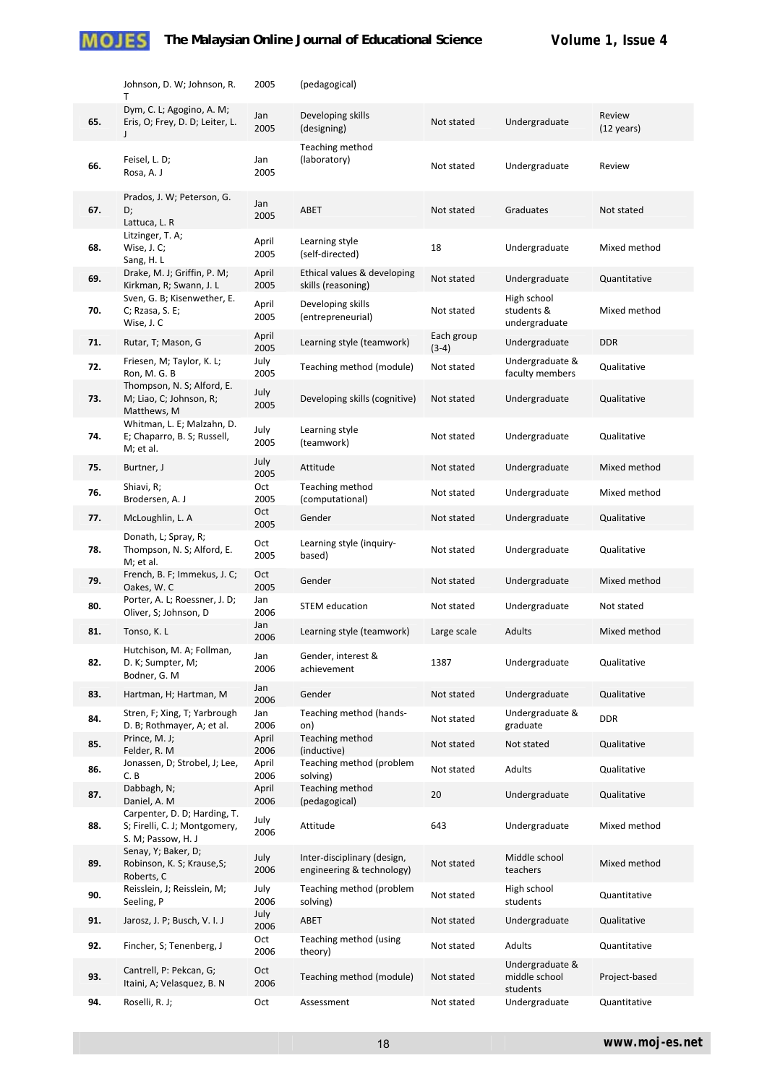|     | Johnson, D. W; Johnson, R.<br>T                                                     | 2005          | (pedagogical)                                            |                       |                                              |                                |
|-----|-------------------------------------------------------------------------------------|---------------|----------------------------------------------------------|-----------------------|----------------------------------------------|--------------------------------|
| 65. | Dym, C. L; Agogino, A. M;<br>Eris, O; Frey, D. D; Leiter, L.<br>J                   | Jan<br>2005   | Developing skills<br>(designing)                         | Not stated            | Undergraduate                                | Review<br>$(12 \text{ years})$ |
| 66. | Feisel, L. D;<br>Rosa, A. J                                                         | Jan<br>2005   | Teaching method<br>(laboratory)                          | Not stated            | Undergraduate                                | Review                         |
| 67. | Prados, J. W; Peterson, G.<br>D;<br>Lattuca, L. R                                   | Jan<br>2005   | ABET                                                     | Not stated            | Graduates                                    | Not stated                     |
| 68. | Litzinger, T. A;<br>Wise, J. C;<br>Sang, H. L                                       | April<br>2005 | Learning style<br>(self-directed)                        | 18                    | Undergraduate                                | Mixed method                   |
| 69. | Drake, M. J; Griffin, P. M;<br>Kirkman, R; Swann, J. L                              | April<br>2005 | Ethical values & developing<br>skills (reasoning)        | Not stated            | Undergraduate                                | Quantitative                   |
| 70. | Sven, G. B; Kisenwether, E.<br>$C$ ; Rzasa, S. E;<br>Wise, J. C                     | April<br>2005 | Developing skills<br>(entrepreneurial)                   | Not stated            | High school<br>students &<br>undergraduate   | Mixed method                   |
| 71. | Rutar, T; Mason, G                                                                  | April<br>2005 | Learning style (teamwork)                                | Each group<br>$(3-4)$ | Undergraduate                                | <b>DDR</b>                     |
| 72. | Friesen, M; Taylor, K. L;<br>Ron, M. G. B                                           | July<br>2005  | Teaching method (module)                                 | Not stated            | Undergraduate &<br>faculty members           | Qualitative                    |
| 73. | Thompson, N. S; Alford, E.<br>M; Liao, C; Johnson, R;<br>Matthews, M                | July<br>2005  | Developing skills (cognitive)                            | Not stated            | Undergraduate                                | Qualitative                    |
| 74. | Whitman, L. E; Malzahn, D.<br>E; Chaparro, B. S; Russell,<br>M; et al.              | July<br>2005  | Learning style<br>(teamwork)                             | Not stated            | Undergraduate                                | Qualitative                    |
| 75. | Burtner, J                                                                          | July<br>2005  | Attitude                                                 | Not stated            | Undergraduate                                | Mixed method                   |
| 76. | Shiavi, R;<br>Brodersen, A. J                                                       | Oct<br>2005   | Teaching method<br>(computational)                       | Not stated            | Undergraduate                                | Mixed method                   |
| 77. | McLoughlin, L. A                                                                    | Oct<br>2005   | Gender                                                   | Not stated            | Undergraduate                                | Qualitative                    |
| 78. | Donath, L; Spray, R;<br>Thompson, N. S; Alford, E.<br>M; et al.                     | Oct<br>2005   | Learning style (inquiry-<br>based)                       | Not stated            | Undergraduate                                | Qualitative                    |
| 79. | French, B. F; Immekus, J. C;<br>Oakes, W.C                                          | Oct<br>2005   | Gender                                                   | Not stated            | Undergraduate                                | Mixed method                   |
| 80. | Porter, A. L; Roessner, J. D;<br>Oliver, S; Johnson, D                              | Jan<br>2006   | <b>STEM</b> education                                    | Not stated            | Undergraduate                                | Not stated                     |
| 81. | Tonso, K. L                                                                         | Jan<br>2006   | Learning style (teamwork)                                | Large scale           | Adults                                       | Mixed method                   |
| 82. | Hutchison, M. A; Follman,<br>D. K; Sumpter, M;<br>Bodner, G. M                      | Jan<br>2006   | Gender, interest &<br>achievement                        | 1387                  | Undergraduate                                | Qualitative                    |
| 83. | Hartman, H; Hartman, M                                                              | Jan<br>2006   | Gender                                                   | Not stated            | Undergraduate                                | Qualitative                    |
| 84. | Stren, F; Xing, T; Yarbrough<br>D. B; Rothmayer, A; et al.                          | Jan<br>2006   | Teaching method (hands-<br>on)                           | Not stated            | Undergraduate &<br>graduate                  | <b>DDR</b>                     |
| 85. | Prince, M. J;<br>Felder, R. M                                                       | April<br>2006 | Teaching method<br>(inductive)                           | Not stated            | Not stated                                   | Qualitative                    |
| 86. | Jonassen, D; Strobel, J; Lee,<br>C.B                                                | April<br>2006 | Teaching method (problem<br>solving)                     | Not stated            | Adults                                       | Qualitative                    |
| 87. | Dabbagh, N;<br>Daniel, A. M                                                         | April<br>2006 | Teaching method<br>(pedagogical)                         | 20                    | Undergraduate                                | Qualitative                    |
| 88. | Carpenter, D. D; Harding, T.<br>S; Firelli, C. J; Montgomery,<br>S. M; Passow, H. J | July<br>2006  | Attitude                                                 | 643                   | Undergraduate                                | Mixed method                   |
| 89. | Senay, Y; Baker, D;<br>Robinson, K. S; Krause, S;<br>Roberts, C                     | July<br>2006  | Inter-disciplinary (design,<br>engineering & technology) | Not stated            | Middle school<br>teachers                    | Mixed method                   |
| 90. | Reisslein, J; Reisslein, M;<br>Seeling, P                                           | July<br>2006  | Teaching method (problem<br>solving)                     | Not stated            | High school<br>students                      | Quantitative                   |
| 91. | Jarosz, J. P; Busch, V. I. J                                                        | July<br>2006  | ABET                                                     | Not stated            | Undergraduate                                | Qualitative                    |
| 92. | Fincher, S; Tenenberg, J                                                            | Oct<br>2006   | Teaching method (using<br>theory)                        | Not stated            | Adults                                       | Quantitative                   |
| 93. | Cantrell, P: Pekcan, G;<br>Itaini, A; Velasquez, B. N                               | Oct<br>2006   | Teaching method (module)                                 | Not stated            | Undergraduate &<br>middle school<br>students | Project-based                  |
| 94. | Roselli, R. J;                                                                      | Oct           | Assessment                                               | Not stated            | Undergraduate                                | Quantitative                   |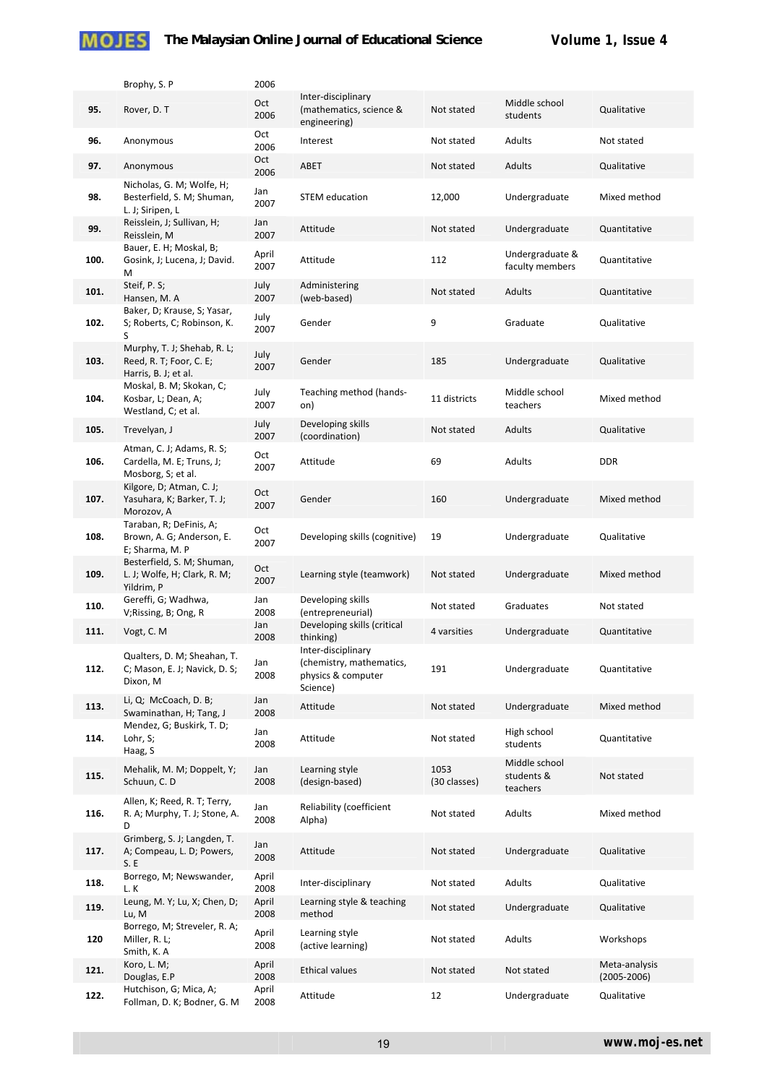|      | Brophy, S. P                                                                   | 2006          |                                                                                  |                      |                                         |                                  |
|------|--------------------------------------------------------------------------------|---------------|----------------------------------------------------------------------------------|----------------------|-----------------------------------------|----------------------------------|
| 95.  | Rover, D. T                                                                    | Oct<br>2006   | Inter-disciplinary<br>(mathematics, science &<br>engineering)                    | Not stated           | Middle school<br>students               | Qualitative                      |
| 96.  | Anonymous                                                                      | Oct<br>2006   | Interest                                                                         | Not stated           | Adults                                  | Not stated                       |
| 97.  | Anonymous                                                                      | Oct<br>2006   | ABET                                                                             | Not stated           | Adults                                  | Qualitative                      |
| 98.  | Nicholas, G. M; Wolfe, H;<br>Besterfield, S. M; Shuman,<br>L. J; Siripen, L    | Jan<br>2007   | <b>STEM</b> education                                                            | 12,000               | Undergraduate                           | Mixed method                     |
| 99.  | Reisslein, J; Sullivan, H;<br>Reisslein, M                                     | Jan<br>2007   | Attitude                                                                         | Not stated           | Undergraduate                           | Quantitative                     |
| 100. | Bauer, E. H; Moskal, B;<br>Gosink, J; Lucena, J; David.<br>М                   | April<br>2007 | Attitude                                                                         | 112                  | Undergraduate &<br>faculty members      | Quantitative                     |
| 101. | Steif, P. S;<br>Hansen, M. A                                                   | July<br>2007  | Administering<br>(web-based)                                                     | Not stated           | Adults                                  | Quantitative                     |
| 102. | Baker, D; Krause, S; Yasar,<br>S; Roberts, C; Robinson, K.<br>S                | July<br>2007  | Gender                                                                           | 9                    | Graduate                                | Qualitative                      |
| 103. | Murphy, T. J; Shehab, R. L;<br>Reed, R. T; Foor, C. E;<br>Harris, B. J; et al. | July<br>2007  | Gender                                                                           | 185                  | Undergraduate                           | Qualitative                      |
| 104. | Moskal, B. M; Skokan, C;<br>Kosbar, L; Dean, A;<br>Westland, C; et al.         | July<br>2007  | Teaching method (hands-<br>on)                                                   | 11 districts         | Middle school<br>teachers               | Mixed method                     |
| 105. | Trevelyan, J                                                                   | July<br>2007  | Developing skills<br>(coordination)                                              | Not stated           | Adults                                  | Qualitative                      |
| 106. | Atman, C. J; Adams, R. S;<br>Cardella, M. E; Truns, J;<br>Mosborg, S; et al.   | Oct<br>2007   | Attitude                                                                         | 69                   | Adults                                  | <b>DDR</b>                       |
| 107. | Kilgore, D; Atman, C. J;<br>Yasuhara, K; Barker, T. J;<br>Morozov, A           | Oct<br>2007   | Gender                                                                           | 160                  | Undergraduate                           | Mixed method                     |
| 108. | Taraban, R; DeFinis, A;<br>Brown, A. G; Anderson, E.<br>E; Sharma, M. P        | Oct<br>2007   | Developing skills (cognitive)                                                    | 19                   | Undergraduate                           | Qualitative                      |
| 109. | Besterfield, S. M; Shuman,<br>L. J; Wolfe, H; Clark, R. M;<br>Yildrim, P       | Oct<br>2007   | Learning style (teamwork)                                                        | Not stated           | Undergraduate                           | Mixed method                     |
| 110. | Gereffi, G; Wadhwa,<br>V;Rissing, B; Ong, R                                    | Jan<br>2008   | Developing skills<br>(entrepreneurial)                                           | Not stated           | Graduates                               | Not stated                       |
| 111. | Vogt, C. M                                                                     | Jan<br>2008   | Developing skills (critical<br>thinking)                                         | 4 varsities          | Undergraduate                           | Quantitative                     |
| 112. | Qualters, D. M; Sheahan, T.<br>C; Mason, E. J; Navick, D. S;<br>Dixon, M       | Jan<br>2008   | Inter-disciplinary<br>(chemistry, mathematics,<br>physics & computer<br>Science) | 191                  | Undergraduate                           | Quantitative                     |
| 113. | Li, Q; McCoach, D. B;<br>Swaminathan, H; Tang, J                               | Jan<br>2008   | Attitude                                                                         | Not stated           | Undergraduate                           | Mixed method                     |
| 114. | Mendez, G; Buskirk, T. D;<br>Lohr, S;<br>Haag, S                               | Jan<br>2008   | Attitude                                                                         | Not stated           | High school<br>students                 | Quantitative                     |
| 115. | Mehalik, M. M; Doppelt, Y;<br>Schuun, C. D                                     | Jan<br>2008   | Learning style<br>(design-based)                                                 | 1053<br>(30 classes) | Middle school<br>students &<br>teachers | Not stated                       |
| 116. | Allen, K; Reed, R. T; Terry,<br>R. A; Murphy, T. J; Stone, A.<br>D             | Jan<br>2008   | Reliability (coefficient<br>Alpha)                                               | Not stated           | Adults                                  | Mixed method                     |
| 117. | Grimberg, S. J; Langden, T.<br>A; Compeau, L. D; Powers,<br>S.E                | Jan<br>2008   | Attitude                                                                         | Not stated           | Undergraduate                           | Qualitative                      |
| 118. | Borrego, M; Newswander,<br>L.K                                                 | April<br>2008 | Inter-disciplinary                                                               | Not stated           | Adults                                  | Qualitative                      |
| 119. | Leung, M. Y; Lu, X; Chen, D;<br>Lu, M                                          | April<br>2008 | Learning style & teaching<br>method                                              | Not stated           | Undergraduate                           | Qualitative                      |
| 120  | Borrego, M; Streveler, R. A;<br>Miller, R. L;<br>Smith, K. A                   | April<br>2008 | Learning style<br>(active learning)                                              | Not stated           | Adults                                  | Workshops                        |
| 121. | Koro, L. M;<br>Douglas, E.P                                                    | April<br>2008 | <b>Ethical values</b>                                                            | Not stated           | Not stated                              | Meta-analysis<br>$(2005 - 2006)$ |
| 122. | Hutchison, G; Mica, A;<br>Follman, D. K; Bodner, G. M.                         | April<br>2008 | Attitude                                                                         | 12                   | Undergraduate                           | Qualitative                      |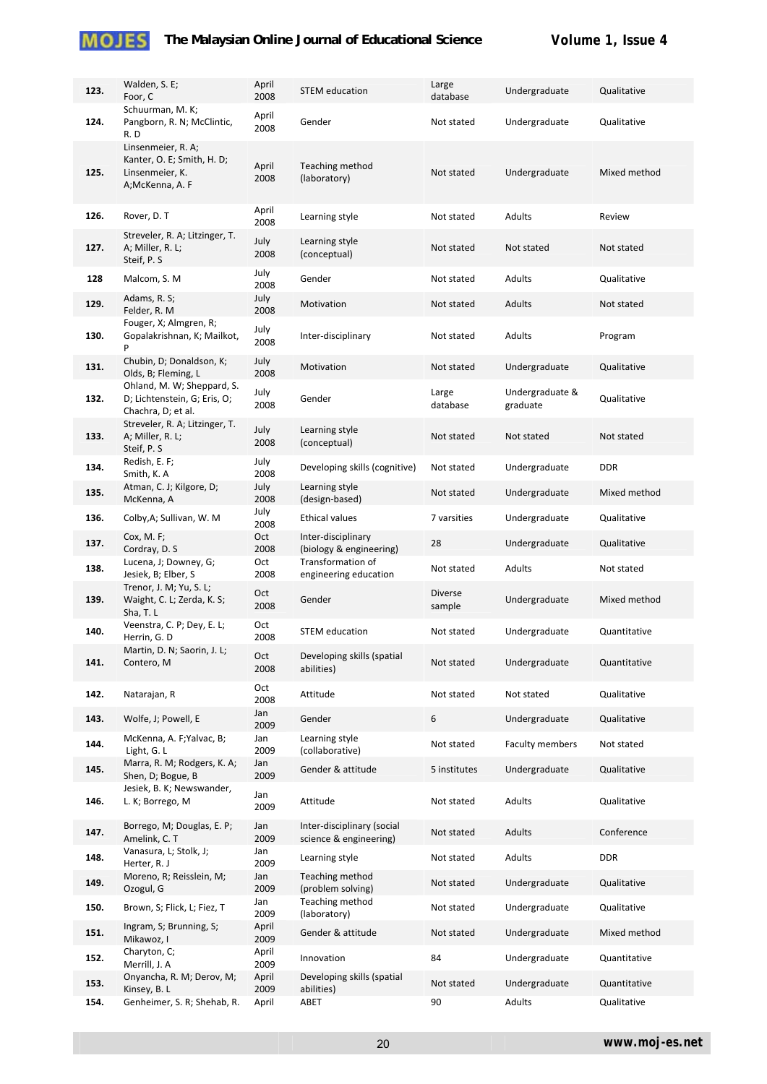

| 123.         | Walden, S. E;<br>Foor, C                                                               | April<br>2008 | <b>STEM</b> education                                | Large<br>database | Undergraduate               | Qualitative                 |
|--------------|----------------------------------------------------------------------------------------|---------------|------------------------------------------------------|-------------------|-----------------------------|-----------------------------|
| 124.         | Schuurman, M. K;<br>Pangborn, R. N; McClintic,<br>R.D                                  | April<br>2008 | Gender                                               | Not stated        | Undergraduate               | Qualitative                 |
| 125.         | Linsenmeier, R. A;<br>Kanter, O. E; Smith, H. D;<br>Linsenmeier, K.<br>A;McKenna, A. F | April<br>2008 | Teaching method<br>(laboratory)                      | Not stated        | Undergraduate               | Mixed method                |
| 126.         | Rover, D. T                                                                            | April<br>2008 | Learning style                                       | Not stated        | Adults                      | Review                      |
| 127.         | Streveler, R. A; Litzinger, T.<br>A; Miller, R. L;<br>Steif, P. S                      | July<br>2008  | Learning style<br>(conceptual)                       | Not stated        | Not stated                  | Not stated                  |
| 128          | Malcom, S. M                                                                           | July<br>2008  | Gender                                               | Not stated        | Adults                      | Qualitative                 |
| 129.         | Adams, R. S;<br>Felder, R. M                                                           | July<br>2008  | Motivation                                           | Not stated        | Adults                      | Not stated                  |
| 130.         | Fouger, X; Almgren, R;<br>Gopalakrishnan, K; Mailkot,<br>P                             | July<br>2008  | Inter-disciplinary                                   | Not stated        | Adults                      | Program                     |
| 131.         | Chubin, D; Donaldson, K;<br>Olds, B; Fleming, L                                        | July<br>2008  | Motivation                                           | Not stated        | Undergraduate               | Qualitative                 |
| 132.         | Ohland, M. W; Sheppard, S.<br>D; Lichtenstein, G; Eris, O;<br>Chachra, D; et al.       | July<br>2008  | Gender                                               | Large<br>database | Undergraduate &<br>graduate | Qualitative                 |
| 133.         | Streveler, R. A; Litzinger, T.<br>A; Miller, R. L;<br>Steif, P. S.                     | July<br>2008  | Learning style<br>(conceptual)                       | Not stated        | Not stated                  | Not stated                  |
| 134.         | Redish, E. F;<br>Smith, K. A                                                           | July<br>2008  | Developing skills (cognitive)                        | Not stated        | Undergraduate               | <b>DDR</b>                  |
| 135.         | Atman, C. J; Kilgore, D;<br>McKenna, A                                                 | July<br>2008  | Learning style<br>(design-based)                     | Not stated        | Undergraduate               | Mixed method                |
| 136.         | Colby, A; Sullivan, W. M.                                                              | July<br>2008  | <b>Ethical values</b>                                | 7 varsities       | Undergraduate               | Qualitative                 |
| 137.         | Cox, M. F;<br>Cordray, D. S                                                            | Oct<br>2008   | Inter-disciplinary<br>(biology & engineering)        | 28                | Undergraduate               | Qualitative                 |
| 138.         | Lucena, J; Downey, G;<br>Jesiek, B; Elber, S                                           | Oct<br>2008   | Transformation of<br>engineering education           | Not stated        | Adults                      | Not stated                  |
| 139.         | Trenor, J. M; Yu, S. L;<br>Waight, C. L; Zerda, K. S;<br>Sha, T. L                     | Oct<br>2008   | Gender                                               | Diverse<br>sample | Undergraduate               | Mixed method                |
| 140.         | Veenstra, C. P; Dey, E. L;<br>Herrin, G. D                                             | Oct<br>2008   | <b>STEM</b> education                                | Not stated        | Undergraduate               | Quantitative                |
| 141.         | Martin, D. N; Saorin, J. L;<br>Contero, M                                              | Oct<br>2008   | Developing skills (spatial<br>abilities)             | Not stated        | Undergraduate               | Quantitative                |
| 142.         | Natarajan, R                                                                           | Oct<br>2008   | Attitude                                             | Not stated        | Not stated                  | Qualitative                 |
| 143.         | Wolfe, J; Powell, E                                                                    | Jan<br>2009   | Gender                                               | 6                 | Undergraduate               | Qualitative                 |
| 144.         | McKenna, A. F; Yalvac, B;<br>Light, G. L                                               | Jan<br>2009   | Learning style<br>(collaborative)                    | Not stated        | <b>Faculty members</b>      | Not stated                  |
| 145.         | Marra, R. M; Rodgers, K. A;<br>Shen, D; Bogue, B                                       | Jan<br>2009   | Gender & attitude                                    | 5 institutes      | Undergraduate               | Qualitative                 |
| 146.         | Jesiek, B. K; Newswander,<br>L. K; Borrego, M                                          | Jan<br>2009   | Attitude                                             | Not stated        | Adults                      | Qualitative                 |
| 147.         | Borrego, M; Douglas, E. P;<br>Amelink, C. T                                            | Jan<br>2009   | Inter-disciplinary (social<br>science & engineering) | Not stated        | Adults                      | Conference                  |
| 148.         | Vanasura, L; Stolk, J;<br>Herter, R. J                                                 | Jan<br>2009   | Learning style                                       | Not stated        | Adults                      | <b>DDR</b>                  |
| 149.         | Moreno, R; Reisslein, M;<br>Ozogul, G                                                  | Jan<br>2009   | Teaching method<br>(problem solving)                 | Not stated        | Undergraduate               | Qualitative                 |
| 150.         | Brown, S; Flick, L; Fiez, T                                                            | Jan<br>2009   | Teaching method<br>(laboratory)                      | Not stated        | Undergraduate               | Qualitative                 |
| 151.         | Ingram, S; Brunning, S;<br>Mikawoz, I                                                  | April<br>2009 | Gender & attitude                                    | Not stated        | Undergraduate               | Mixed method                |
| 152.         | Charyton, C;<br>Merrill, J. A                                                          | April<br>2009 | Innovation                                           | 84                | Undergraduate               | Quantitative                |
| 153.<br>154. | Onyancha, R. M; Derov, M;<br>Kinsey, B. L<br>Genheimer, S. R; Shehab, R.               | April<br>2009 | Developing skills (spatial<br>abilities)<br>ABET     | Not stated<br>90  | Undergraduate<br>Adults     | Quantitative<br>Qualitative |
|              |                                                                                        | April         |                                                      |                   |                             |                             |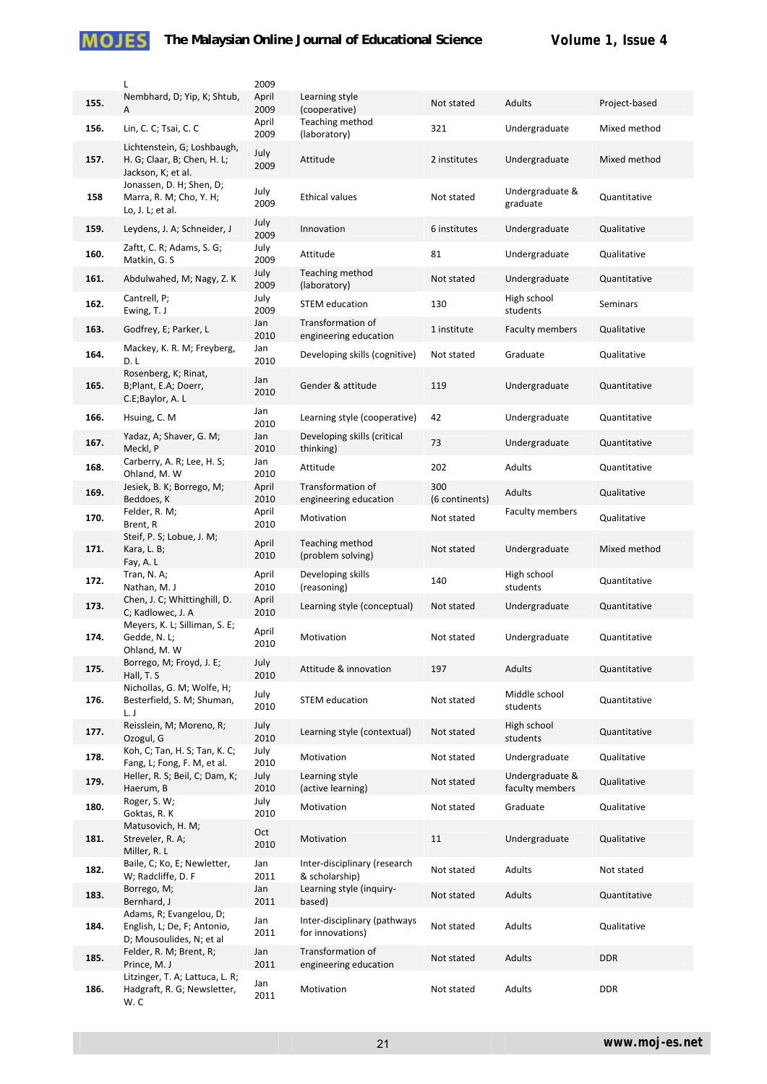|      | L                                                                                  | 2009          |
|------|------------------------------------------------------------------------------------|---------------|
| 155. | Nembhard, D; Yip, K; Shtub,<br>A                                                   | April<br>2009 |
| 156. | Lin, C. C; Tsai, C. C                                                              | April<br>2009 |
| 157. | Lichtenstein, G; Loshbaugh,<br>H. G; Claar, B; Chen, H. L;<br>Jackson, K; et al.   | July<br>2009  |
| 158  | Jonassen, D. H; Shen, D;<br>Marra, R. M; Cho, Y. H;<br>Lo, J. L; et al.            | July<br>2009  |
| 159. | Leydens, J. A; Schneider, J                                                        | July<br>2009  |
| 160. | Zaftt, C. R; Adams, S. G;<br>Matkin, G. S                                          | July<br>2009  |
| 161. | Abdulwahed, M; Nagy, Z. K                                                          | July<br>2009  |
| 162. | Cantrell, P;<br>Ewing, T. J                                                        | July<br>2009  |
| 163. | Godfrey, E; Parker, L                                                              | Jan<br>2010   |
| 164. | Mackey, K. R. M; Freyberg,<br>D. L                                                 | Jan<br>2010   |
| 165. | Rosenberg, K; Rinat,<br>B;Plant, E.A; Doerr,<br>C.E;Baylor, A. L                   | Jan<br>2010   |
| 166. | Hsuing, C. M                                                                       | Jan<br>2010   |
| 167. | Yadaz, A; Shaver, G. M;<br>Meckl, P                                                | Jan<br>2010   |
| 168. | Carberry, A. R; Lee, H. S;<br>Ohland, M. W                                         | Jan<br>2010   |
| 169. | Jesiek, B. K; Borrego, M;<br>Beddoes, K                                            | April<br>2010 |
| 170. | Felder, R. M;<br>Brent, R                                                          | April<br>2010 |
| 171. | Steif, P. S; Lobue, J. M;<br>Kara, L. B;<br>Fay, A.L                               | April<br>2010 |
| 172. | Tran, N. A;<br>Nathan, M.J                                                         | April<br>2010 |
| 173. | Chen, J. C; Whittinghill, D.<br>C; Kadlowec, J. A                                  | April<br>2010 |
| 174. | Meyers, K. L; Silliman, S. E;<br>Gedde, N. L;<br>Ohland. M. W                      | April<br>2010 |
| 175. | Borrego, M; Froyd, J. E;<br>Hall, T. S                                             | July<br>2010  |
| 176. | Nichollas, G. M; Wolfe, H;<br>Besterfield, S. M; Shuman,<br>L. J                   | July<br>2010  |
| 177. | Reisslein, M; Moreno, R;<br>Ozogul, G                                              | July<br>2010  |
| 178. | Koh, C; Tan, H. S; Tan, K. C;<br>Fang, L; Fong, F. M, et al.                       | July<br>2010  |
| 179. | Heller, R. S; Beil, C; Dam, K;<br>Haerum, B                                        | July<br>2010  |
| 180. | Roger, S. W;<br>Goktas, R. K                                                       | July<br>2010  |
| 181. | Matusovich, H. M;<br>Streveler, R. A;<br>Miller, R. L                              | Oct<br>2010   |
| 182. | Baile, C; Ko, E; Newletter,<br>W; Radcliffe, D. F                                  | Jan<br>2011   |
| 183. | Borrego, M;<br>Bernhard, J                                                         | Jan<br>2011   |
| 184. | Adams, R; Evangelou, D;<br>English, L; De, F; Antonio,<br>D; Mousoulides, N; et al | Jan<br>2011   |
| 185. | Felder, R. M; Brent, R;<br>Prince, M. J                                            | Jan<br>2011   |
| 186. | Litzinger, T. A; Lattuca, L. R;<br>Hadgraft, R. G; Newsletter,<br>w. c             | Jan<br>2011   |

| 2009          |                                                  |                       |                                    |               |
|---------------|--------------------------------------------------|-----------------------|------------------------------------|---------------|
| April<br>2009 | Learning style<br>(cooperative)                  | Not stated            | Adults                             | Project-based |
| April<br>2009 | Teaching method<br>(laboratory)                  | 321                   | Undergraduate                      | Mixed method  |
| July<br>2009  | Attitude                                         | 2 institutes          | Undergraduate                      | Mixed method  |
| July<br>2009  | <b>Ethical values</b>                            | Not stated            | Undergraduate &<br>graduate        | Quantitative  |
| July<br>2009  | Innovation                                       | 6 institutes          | Undergraduate                      | Qualitative   |
| July<br>2009  | Attitude                                         | 81                    | Undergraduate                      | Qualitative   |
| July<br>2009  | Teaching method<br>(laboratory)                  | Not stated            | Undergraduate                      | Quantitative  |
| July<br>2009  | <b>STEM</b> education                            | 130                   | High school<br>students            | Seminars      |
| Jan<br>2010   | Transformation of<br>engineering education       | 1 institute           | <b>Faculty members</b>             | Qualitative   |
| Jan<br>2010   | Developing skills (cognitive)                    | Not stated            | Graduate                           | Qualitative   |
| Jan<br>2010   | Gender & attitude                                | 119                   | Undergraduate                      | Quantitative  |
| Jan<br>2010   | Learning style (cooperative)                     | 42                    | Undergraduate                      | Quantitative  |
| Jan<br>2010   | Developing skills (critical<br>thinking)         | 73                    | Undergraduate                      | Quantitative  |
| Jan<br>2010   | Attitude                                         | 202                   | Adults                             | Quantitative  |
| April<br>2010 | Transformation of<br>engineering education       | 300<br>(6 continents) | Adults                             | Qualitative   |
| April<br>2010 | Motivation                                       | Not stated            | <b>Faculty members</b>             | Qualitative   |
| April<br>2010 | Teaching method<br>(problem solving)             | Not stated            | Undergraduate                      | Mixed method  |
| April<br>2010 | Developing skills<br>(reasoning)                 | 140                   | High school<br>students            | Quantitative  |
| April<br>2010 | Learning style (conceptual)                      | Not stated            | Undergraduate                      | Quantitative  |
| April<br>2010 | Motivation                                       | Not stated            | Undergraduate                      | Quantitative  |
| July<br>2010  | Attitude & innovation                            | 197                   | Adults                             | Quantitative  |
| July<br>2010  | <b>STEM education</b>                            | Not stated            | Middle school<br>students          | Quantitative  |
| July<br>2010  | Learning style (contextual)                      | Not stated            | High school<br>students            | Quantitative  |
| July<br>2010  | Motivation                                       | Not stated            | Undergraduate                      | Qualitative   |
| July<br>2010  | Learning style<br>(active learning)              | Not stated            | Undergraduate &<br>faculty members | Qualitative   |
| July<br>2010  | Motivation                                       | Not stated            | Graduate                           | Qualitative   |
| Oct<br>2010   | Motivation                                       | 11                    | Undergraduate                      | Qualitative   |
| Jan<br>2011   | Inter-disciplinary (research<br>& scholarship)   | Not stated            | Adults                             | Not stated    |
| Jan<br>2011   | Learning style (inquiry-<br>based)               | Not stated            | Adults                             | Quantitative  |
| Jan<br>2011   | Inter-disciplinary (pathways<br>for innovations) | Not stated            | Adults                             | Qualitative   |
| Jan<br>2011   | Transformation of<br>engineering education       | Not stated            | Adults                             | <b>DDR</b>    |
| Jan<br>2011   | Motivation                                       | Not stated            | Adults                             | <b>DDR</b>    |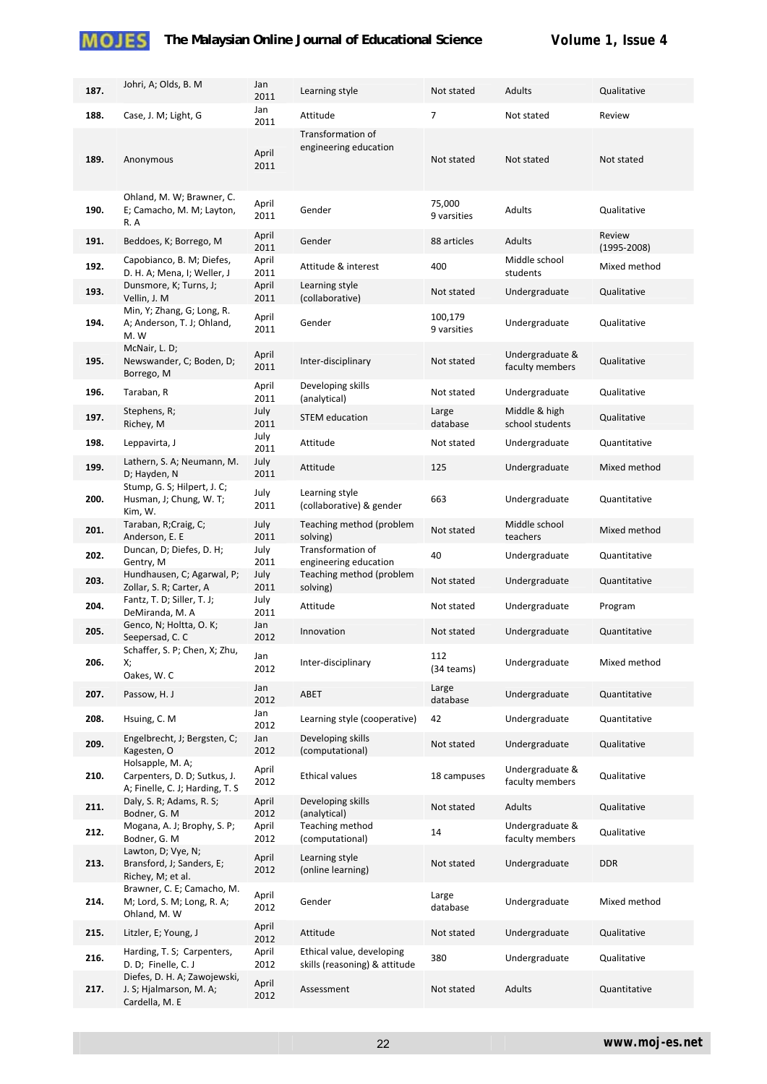| 187. | Johri, A; Olds, B. M.                                                               | Jan<br>2011   | Learning style                                             | Not stated             | Adults                             | Qualitative               |
|------|-------------------------------------------------------------------------------------|---------------|------------------------------------------------------------|------------------------|------------------------------------|---------------------------|
| 188. | Case, J. M; Light, G                                                                | Jan<br>2011   | Attitude                                                   | $\overline{7}$         | Not stated                         | Review                    |
| 189. | Anonymous                                                                           | April<br>2011 | Transformation of<br>engineering education                 | Not stated             | Not stated                         | Not stated                |
| 190. | Ohland, M. W; Brawner, C.<br>E; Camacho, M. M; Layton,<br>R.A                       | April<br>2011 | Gender                                                     | 75,000<br>9 varsities  | Adults                             | Qualitative               |
| 191. | Beddoes, K; Borrego, M                                                              | April<br>2011 | Gender                                                     | 88 articles            | Adults                             | Review<br>$(1995 - 2008)$ |
| 192. | Capobianco, B. M; Diefes,<br>D. H. A; Mena, I; Weller, J                            | April<br>2011 | Attitude & interest                                        | 400                    | Middle school<br>students          | Mixed method              |
| 193. | Dunsmore, K; Turns, J;<br>Vellin, J. M                                              | April<br>2011 | Learning style<br>(collaborative)                          | Not stated             | Undergraduate                      | Qualitative               |
| 194. | Min, Y; Zhang, G; Long, R.<br>A; Anderson, T. J; Ohland,<br>M.W                     | April<br>2011 | Gender                                                     | 100,179<br>9 varsities | Undergraduate                      | Qualitative               |
| 195. | McNair, L. D;<br>Newswander, C; Boden, D;<br>Borrego, M                             | April<br>2011 | Inter-disciplinary                                         | Not stated             | Undergraduate &<br>faculty members | Qualitative               |
| 196. | Taraban, R                                                                          | April<br>2011 | Developing skills<br>(analytical)                          | Not stated             | Undergraduate                      | Qualitative               |
| 197. | Stephens, R;<br>Richey, M                                                           | July<br>2011  | <b>STEM education</b>                                      | Large<br>database      | Middle & high<br>school students   | Qualitative               |
| 198. | Leppavirta, J                                                                       | July<br>2011  | Attitude                                                   | Not stated             | Undergraduate                      | Quantitative              |
| 199. | Lathern, S. A; Neumann, M.<br>D; Hayden, N                                          | July<br>2011  | Attitude                                                   | 125                    | Undergraduate                      | Mixed method              |
| 200. | Stump, G. S; Hilpert, J. C;<br>Husman, J; Chung, W. T;<br>Kim, W.                   | July<br>2011  | Learning style<br>(collaborative) & gender                 | 663                    | Undergraduate                      | Quantitative              |
| 201. | Taraban, R;Craig, C;<br>Anderson, E. E                                              | July<br>2011  | Teaching method (problem<br>solving)                       | Not stated             | Middle school<br>teachers          | Mixed method              |
| 202. | Duncan, D; Diefes, D. H;<br>Gentry, M                                               | July<br>2011  | Transformation of<br>engineering education                 | 40                     | Undergraduate                      | Quantitative              |
| 203. | Hundhausen, C; Agarwal, P;<br>Zollar, S. R; Carter, A                               | July<br>2011  | Teaching method (problem<br>solving)                       | Not stated             | Undergraduate                      | Quantitative              |
| 204. | Fantz, T. D; Siller, T. J;<br>DeMiranda, M. A                                       | July<br>2011  | Attitude                                                   | Not stated             | Undergraduate                      | Program                   |
| 205. | Genco, N; Holtta, O. K;<br>Seepersad, C. C                                          | Jan<br>2012   | Innovation                                                 | Not stated             | Undergraduate                      | Quantitative              |
| 206. | Schaffer, S. P; Chen, X; Zhu,<br>Х;<br>Oakes, W.C                                   | Jan<br>2012   | Inter-disciplinary                                         | 112<br>(34 teams)      | Undergraduate                      | Mixed method              |
| 207. | Passow, H. J                                                                        | Jan<br>2012   | ABET                                                       | Large<br>database      | Undergraduate                      | Quantitative              |
| 208. | Hsuing, C. M                                                                        | Jan<br>2012   | Learning style (cooperative)                               | 42                     | Undergraduate                      | Quantitative              |
| 209. | Engelbrecht, J; Bergsten, C;<br>Kagesten, O                                         | Jan<br>2012   | Developing skills<br>(computational)                       | Not stated             | Undergraduate                      | Qualitative               |
| 210. | Holsapple, M. A;<br>Carpenters, D. D; Sutkus, J.<br>A; Finelle, C. J; Harding, T. S | April<br>2012 | <b>Ethical values</b>                                      | 18 campuses            | Undergraduate &<br>faculty members | Qualitative               |
| 211. | Daly, S. R; Adams, R. S;<br>Bodner, G. M                                            | April<br>2012 | Developing skills<br>(analytical)                          | Not stated             | Adults                             | Qualitative               |
| 212. | Mogana, A. J; Brophy, S. P;<br>Bodner, G. M                                         | April<br>2012 | Teaching method<br>(computational)                         | 14                     | Undergraduate &<br>faculty members | Qualitative               |
| 213. | Lawton, D; Vye, N;<br>Bransford, J; Sanders, E;<br>Richey, M; et al.                | April<br>2012 | Learning style<br>(online learning)                        | Not stated             | Undergraduate                      | <b>DDR</b>                |
| 214. | Brawner, C. E; Camacho, M.<br>M; Lord, S. M; Long, R. A;<br>Ohland, M. W            | April<br>2012 | Gender                                                     | Large<br>database      | Undergraduate                      | Mixed method              |
| 215. | Litzler, E; Young, J                                                                | April<br>2012 | Attitude                                                   | Not stated             | Undergraduate                      | Qualitative               |
| 216. | Harding, T. S; Carpenters,<br>D. D; Finelle, C. J                                   | April<br>2012 | Ethical value, developing<br>skills (reasoning) & attitude | 380                    | Undergraduate                      | Qualitative               |
| 217. | Diefes, D. H. A; Zawojewski,<br>J. S; Hjalmarson, M. A;<br>Cardella, M. E           | April<br>2012 | Assessment                                                 | Not stated             | Adults                             | Quantitative              |